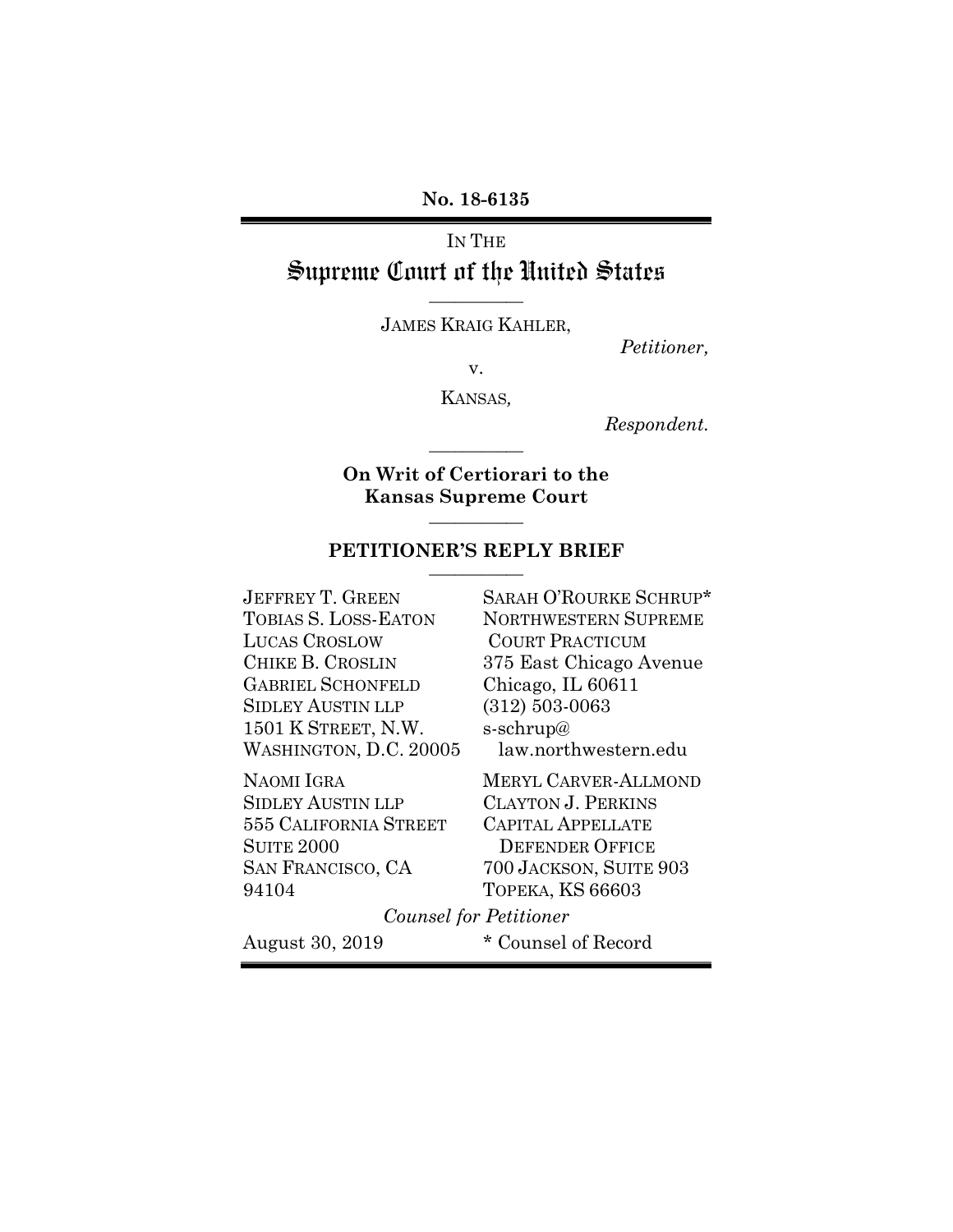**No. 18-6135**

# IN THE Supreme Court of the United States **\_\_\_\_\_\_\_\_\_\_\_**

JAMES KRAIG KAHLER,

*Petitioner,*

v.

KANSAS*,*

*Respondent.*

**On Writ of Certiorari to the Kansas Supreme Court \_\_\_\_\_\_\_\_\_\_\_**

**\_\_\_\_\_\_\_\_\_\_\_**

#### **PETITIONER'S REPLY BRIEF \_\_\_\_\_\_\_\_\_\_\_**

JEFFREY T. GREEN TOBIAS S. LOSS-EATON LUCAS CROSLOW CHIKE B. CROSLIN GABRIEL SCHONFELD SIDLEY AUSTIN LLP 1501 K STREET, N.W. WASHINGTON, D.C. 20005

NAOMI IGRA SIDLEY AUSTIN LLP 555 CALIFORNIA STREET SUITE 2000 SAN FRANCISCO, CA 94104

SARAH O'ROURKE SCHRUP\* NORTHWESTERN SUPREME COURT PRACTICUM 375 East Chicago Avenue Chicago, IL 60611 (312) 503-0063 s-schrup@ law.northwestern.edu

MERYL CARVER-ALLMOND CLAYTON J. PERKINS CAPITAL APPELLATE DEFENDER OFFICE 700 JACKSON, SUITE 903 TOPEKA, KS 66603

*Counsel for Petitioner*

August 30, 2019 \* Counsel of Record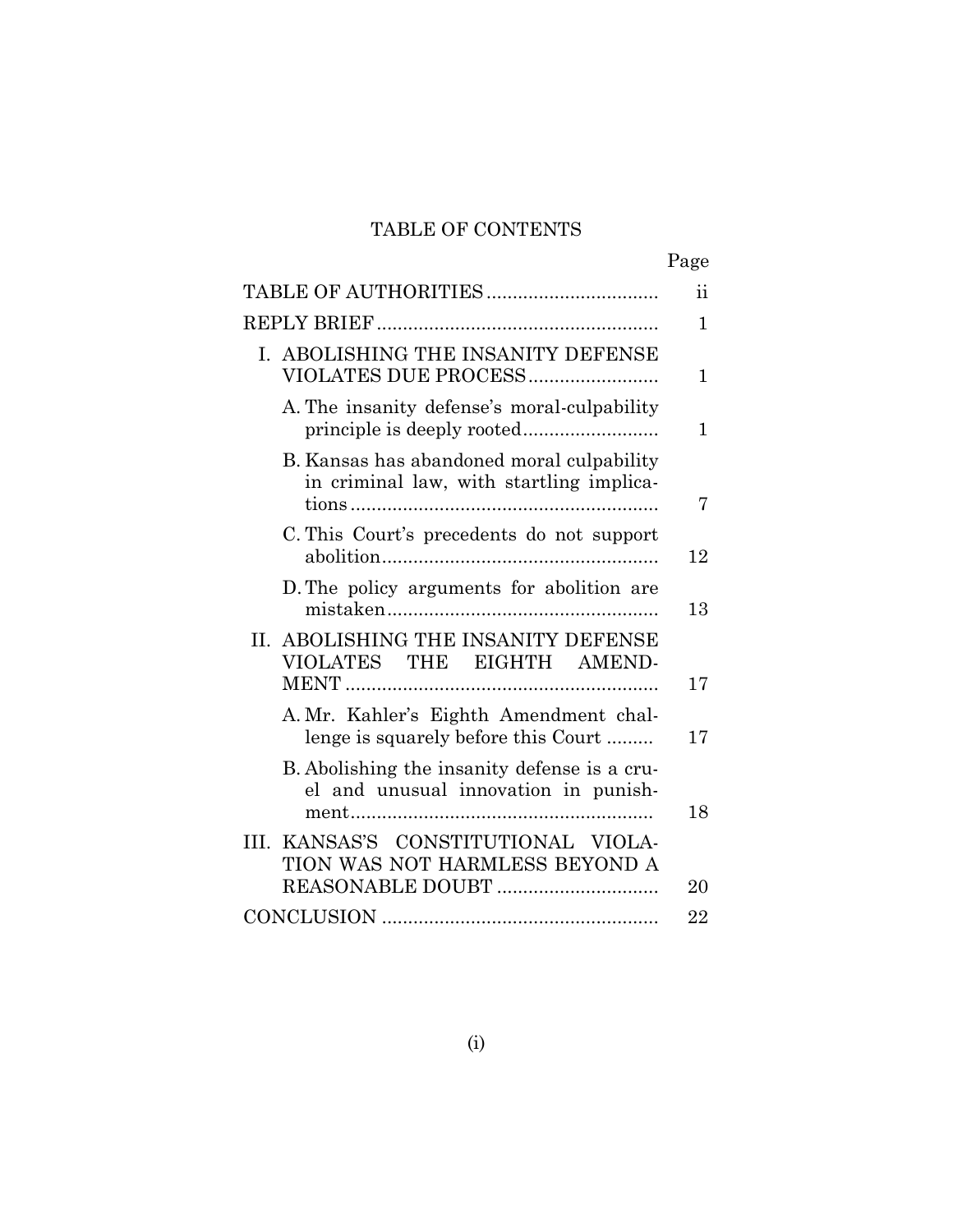## TABLE OF CONTENTS

|                                                                                       | Page         |
|---------------------------------------------------------------------------------------|--------------|
|                                                                                       | ii           |
|                                                                                       | $\mathbf 1$  |
| I. ABOLISHING THE INSANITY DEFENSE<br>VIOLATES DUE PROCESS                            | $\mathbf 1$  |
| A. The insanity defense's moral-culpability                                           | $\mathbf{1}$ |
| B. Kansas has abandoned moral culpability<br>in criminal law, with startling implica- | 7            |
| C. This Court's precedents do not support                                             | 12           |
| D. The policy arguments for abolition are                                             | 13           |
| II. ABOLISHING THE INSANITY DEFENSE<br>VIOLATES THE EIGHTH AMEND-                     | 17           |
| A. Mr. Kahler's Eighth Amendment chal-<br>lenge is squarely before this Court         | 17           |
| B. Abolishing the insanity defense is a cru-<br>el and unusual innovation in punish-  | 18           |
| III. KANSAS'S CONSTITUTIONAL VIOLA-<br>TION WAS NOT HARMLESS BEYOND A                 | 20           |
|                                                                                       | 22           |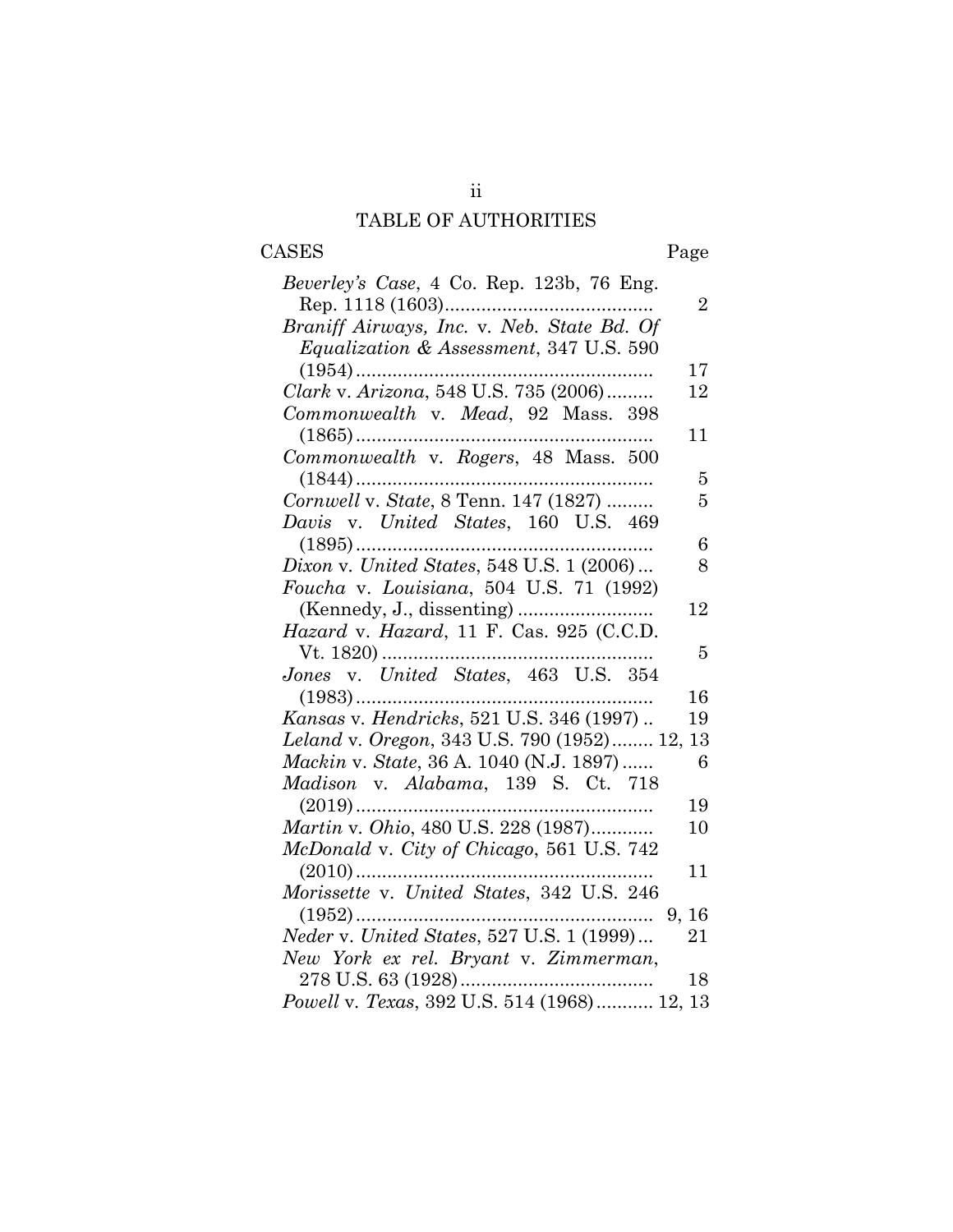# TABLE OF AUTHORITIES

ii

# CASES Page

| <i>Beverley's Case</i> , 4 Co. Rep. 123b, 76 Eng.  |  |
|----------------------------------------------------|--|
| $\overline{2}$                                     |  |
| Braniff Airways, Inc. v. Neb. State Bd. Of         |  |
| <i>Equalization &amp; Assessment, 347 U.S. 590</i> |  |
| 17                                                 |  |
| Clark v. Arizona, 548 U.S. 735 (2006)<br>12        |  |
| Commonwealth v. Mead, 92 Mass. 398                 |  |
| 11                                                 |  |
| Commonwealth v. Rogers, 48 Mass. 500               |  |
| 5                                                  |  |
| Cornwell v. State, 8 Tenn. 147 (1827)<br>5         |  |
| Davis v. United States, 160 U.S. 469               |  |
| 6                                                  |  |
| Dixon v. United States, 548 U.S. 1 (2006)<br>8     |  |
| Foucha v. Louisiana, 504 U.S. 71 (1992)            |  |
| 12                                                 |  |
| Hazard v. Hazard, 11 F. Cas. 925 (C.C.D.           |  |
| 5                                                  |  |
| Jones v. United States, 463 U.S. 354               |  |
| 16<br>$(1983)$                                     |  |
| Kansas v. Hendricks, 521 U.S. 346 (1997)<br>19     |  |
| Leland v. Oregon, 343 U.S. 790 (1952) 12, 13       |  |
| Mackin v. State, 36 A. 1040 (N.J. 1897)<br>6       |  |
| Madison v. Alabama, 139 S. Ct. 718                 |  |
| 19                                                 |  |
| Martin v. Ohio, 480 U.S. 228 (1987)<br>10          |  |
| McDonald v. City of Chicago, 561 U.S. 742          |  |
| $(2010)$<br>11                                     |  |
| Morissette v. United States, 342 U.S. 246          |  |
| $(1952)$<br>9, 16                                  |  |
| 21                                                 |  |
| New York ex rel. Bryant v. Zimmerman,              |  |
| 18                                                 |  |
| Powell v. Texas, 392 U.S. 514 (1968) 12, 13        |  |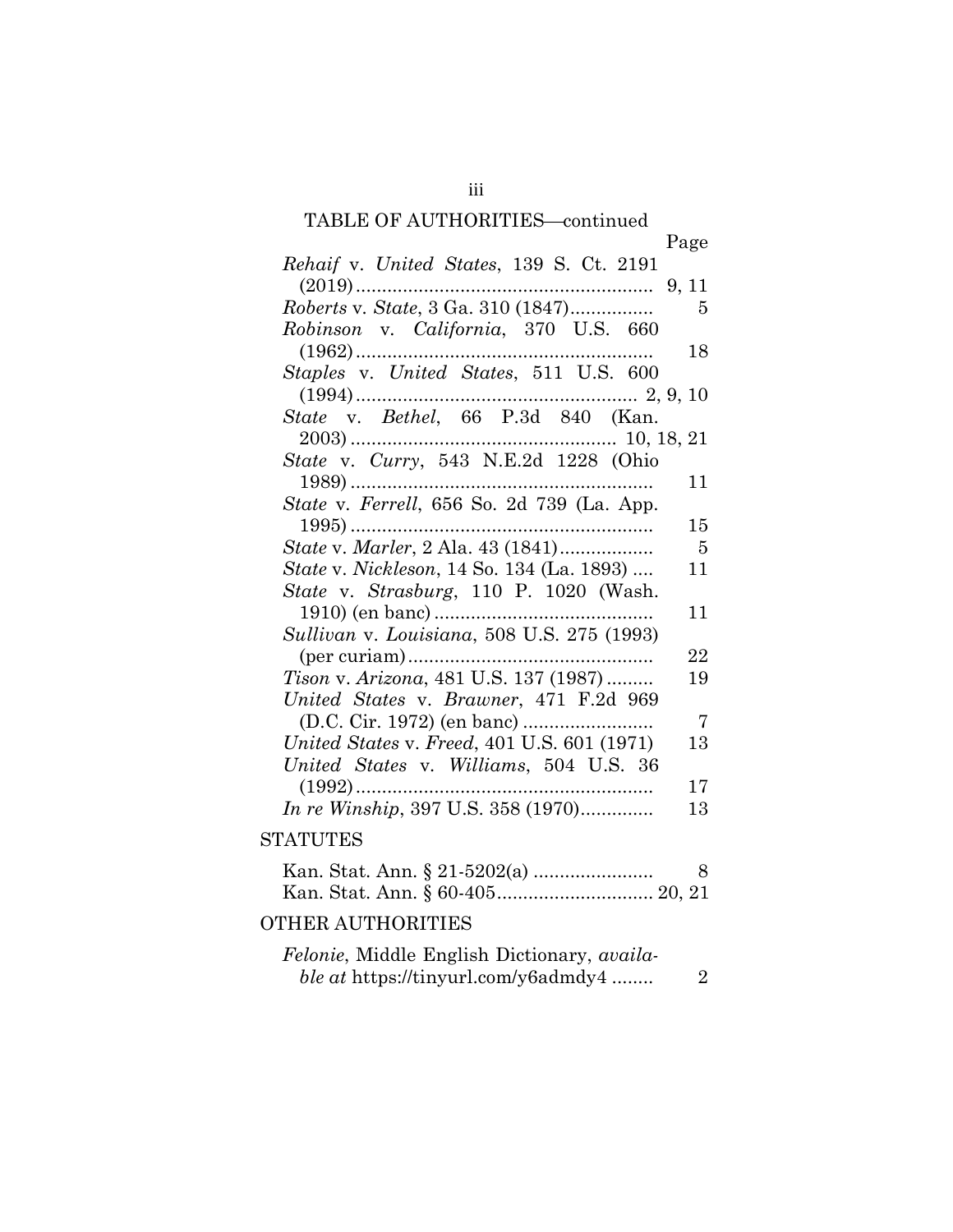#### TABLE OF AUTHORITIES-continued

|                                                                                                  | Page |
|--------------------------------------------------------------------------------------------------|------|
| Rehaif v. United States, 139 S. Ct. 2191                                                         |      |
|                                                                                                  |      |
| Roberts v. State, 3 Ga. 310 (1847)                                                               | 5    |
| Robinson v. California, 370 U.S. 660                                                             |      |
|                                                                                                  | 18   |
| Staples v. United States, 511 U.S. 600                                                           |      |
|                                                                                                  |      |
| $(1994) \dots 2, 9, 10$ $State \quad v. \quad Bethel, \quad 66 \quad P.3d \quad 840 \quad (Kan.$ |      |
|                                                                                                  |      |
| $2003) \dots 10, 18, 21$ $State \ v. \ Curry, \ 543 \ N.E.2d \ 1228 \ (Ohio$                     |      |
|                                                                                                  | 11   |
| State v. Ferrell, 656 So. 2d 739 (La. App.                                                       |      |
|                                                                                                  | 15   |
| <i>State v. Marler</i> , 2 Ala. 43 (1841)                                                        | $-5$ |
| <i>State v. Nickleson</i> , 14 So. 134 (La. 1893)                                                | 11   |
| State v. Strasburg, 110 P. 1020 (Wash.                                                           |      |
|                                                                                                  | 11   |
| Sullivan v. Louisiana, 508 U.S. 275 (1993)                                                       |      |
|                                                                                                  | 22   |
| <i>Tison v. Arizona, 481 U.S. 137 (1987) </i>                                                    | 19   |
| United States v. Brawner, 471 F.2d 969                                                           |      |
|                                                                                                  | -7   |
| United States v. Freed, 401 U.S. 601 (1971)                                                      | 13   |
| United States v. Williams, 504 U.S. 36                                                           |      |
| $(1992)$                                                                                         | 17   |
| In re Winship, 397 U.S. 358 (1970)                                                               | 13   |
| 1 A mi imin'd                                                                                    |      |

## **STATUTES**

|  | -8 |
|--|----|
|  |    |
|  |    |

# OTHER AUTHORITIES

| <i>Felonie</i> , Middle English Dictionary, <i>availa-</i> |  |
|------------------------------------------------------------|--|
| <i>ble at https://tinyurl.com/y6admdy4</i>                 |  |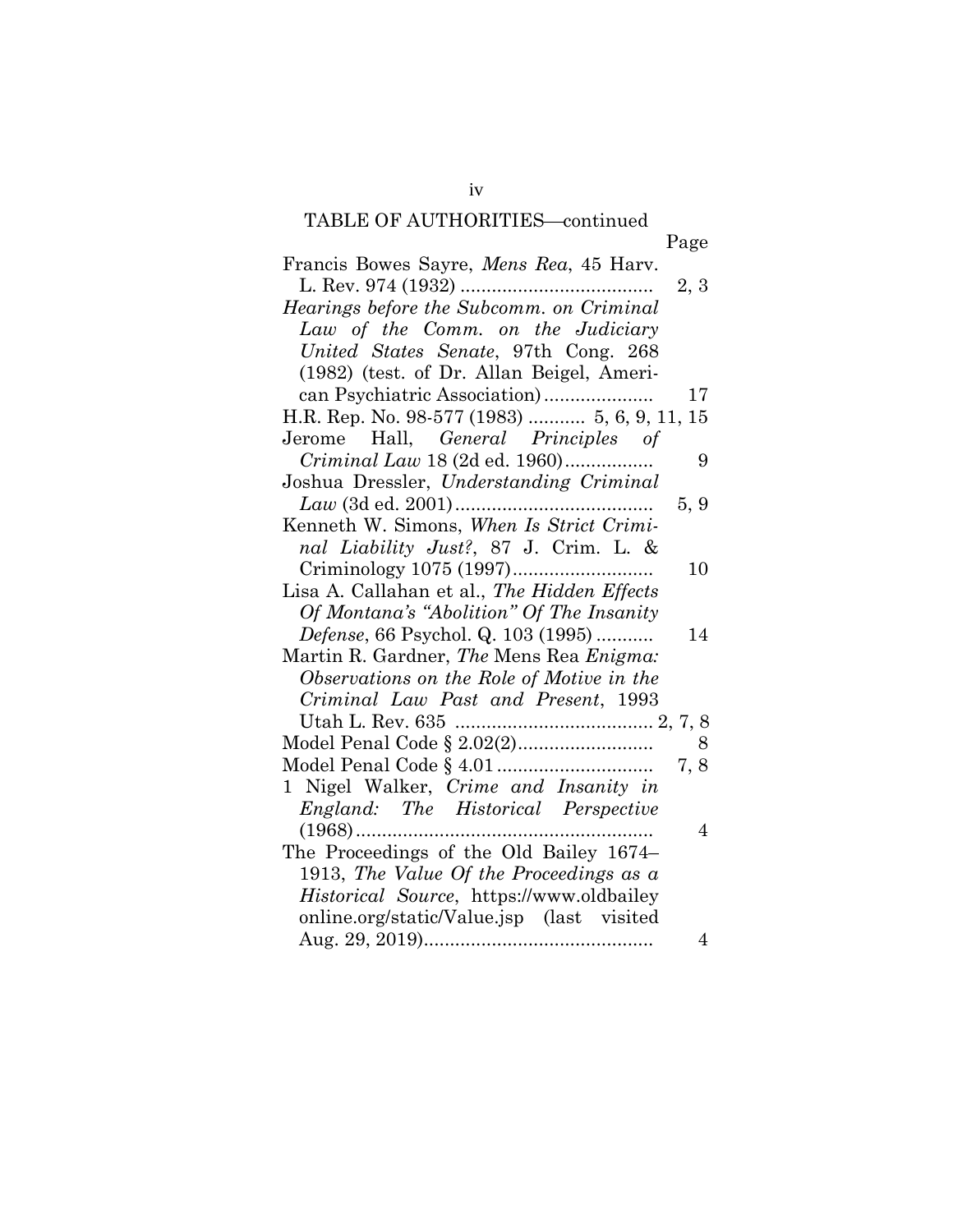# TABLE OF AUTHORITIES—continued

| Francis Bowes Sayre, <i>Mens Rea</i> , 45 Harv.        |
|--------------------------------------------------------|
| 2, 3                                                   |
| Hearings before the Subcomm. on Criminal               |
| Law of the Comm. on the Judiciary                      |
| United States Senate, 97th Cong. 268                   |
| (1982) (test. of Dr. Allan Beigel, Ameri-              |
| 17                                                     |
| H.R. Rep. No. 98-577 (1983)  5, 6, 9, 11, 15           |
| Jerome Hall, General Principles of                     |
| <i>Criminal Law</i> 18 (2d ed. 1960)<br>9              |
| Joshua Dressler, Understanding Criminal                |
| 5, 9                                                   |
| Kenneth W. Simons, When Is Strict Crimi-               |
| nal Liability Just?, 87 J. Crim. L. &                  |
| 10                                                     |
| Lisa A. Callahan et al., The Hidden Effects            |
| Of Montana's "Abolition" Of The Insanity               |
| <i>Defense</i> , 66 Psychol. Q. 103 (1995)<br>14       |
| Martin R. Gardner, <i>The</i> Mens Rea <i>Enigma</i> : |
| Observations on the Role of Motive in the              |
| Criminal Law Past and Present, 1993                    |
|                                                        |
| Model Penal Code § 2.02(2)<br>8                        |
| 7, 8                                                   |
| 1 Nigel Walker, Crime and Insanity in                  |
| England: The Historical Perspective                    |
| $\overline{4}$                                         |
| The Proceedings of the Old Bailey 1674–                |
| 1913, The Value Of the Proceedings as $a$              |
| Historical Source, https://www.oldbailey               |
| online.org/static/Value.jsp (last visited              |
| $\overline{4}$                                         |
|                                                        |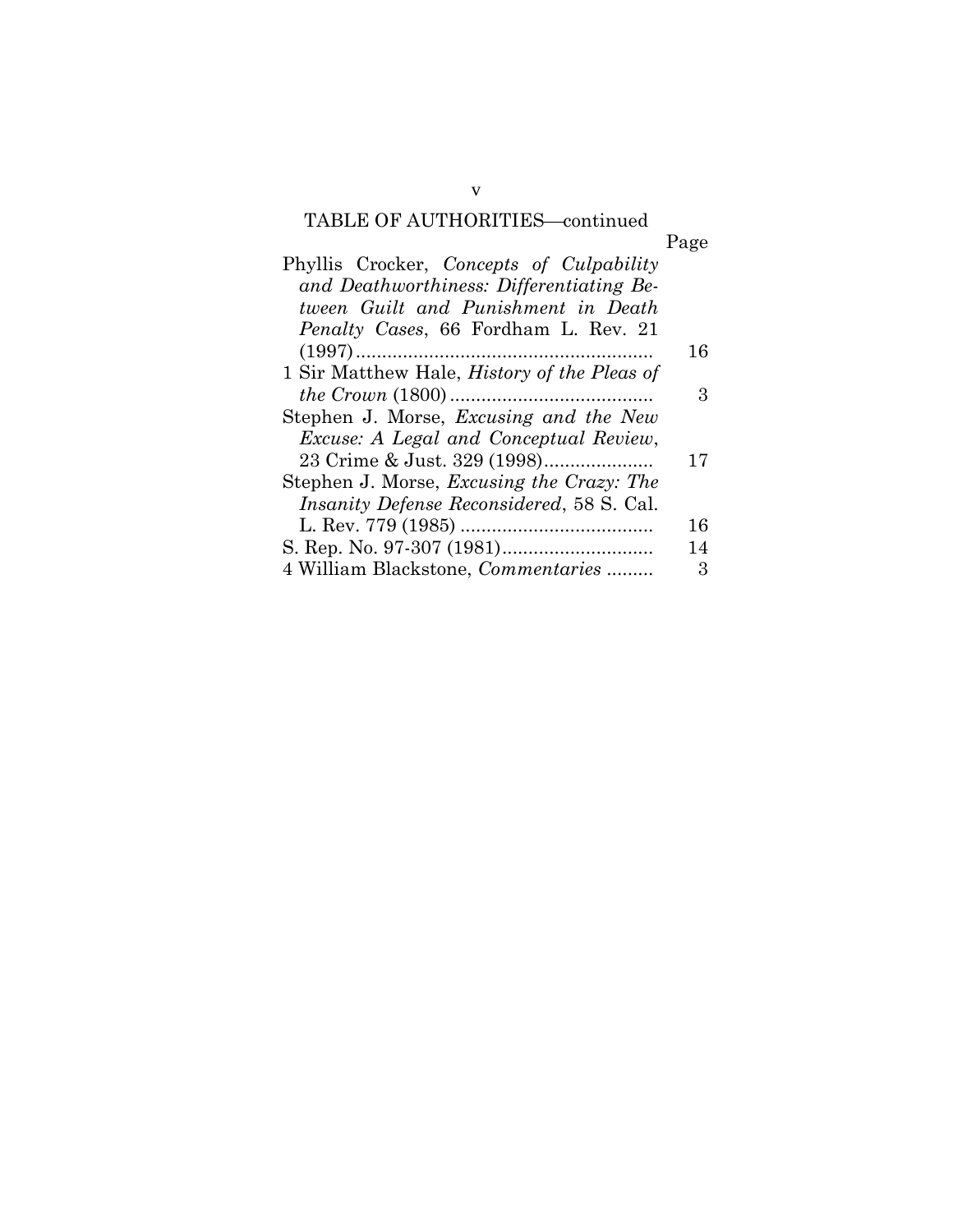# TABLE OF AUTHORITIES—continued

| Phyllis Crocker, Concepts of Culpability           |    |
|----------------------------------------------------|----|
| and Deathworthiness: Differentiating Be-           |    |
| tween Guilt and Punishment in Death                |    |
| <i>Penalty Cases, 66 Fordham L. Rev. 21</i>        |    |
|                                                    | 16 |
| 1 Sir Matthew Hale, <i>History of the Pleas of</i> |    |
|                                                    | З  |
| Stephen J. Morse, <i>Excusing and the New</i>      |    |
| <i>Excuse: A Legal and Conceptual Review,</i>      |    |
| 23 Crime & Just. 329 (1998)                        | 17 |
| Stephen J. Morse, <i>Excusing the Crazy: The</i>   |    |
| <i>Insanity Defense Reconsidered, 58 S. Cal.</i>   |    |
|                                                    | 16 |
|                                                    | 14 |
| 4 William Blackstone, <i>Commentaries</i>          | 3  |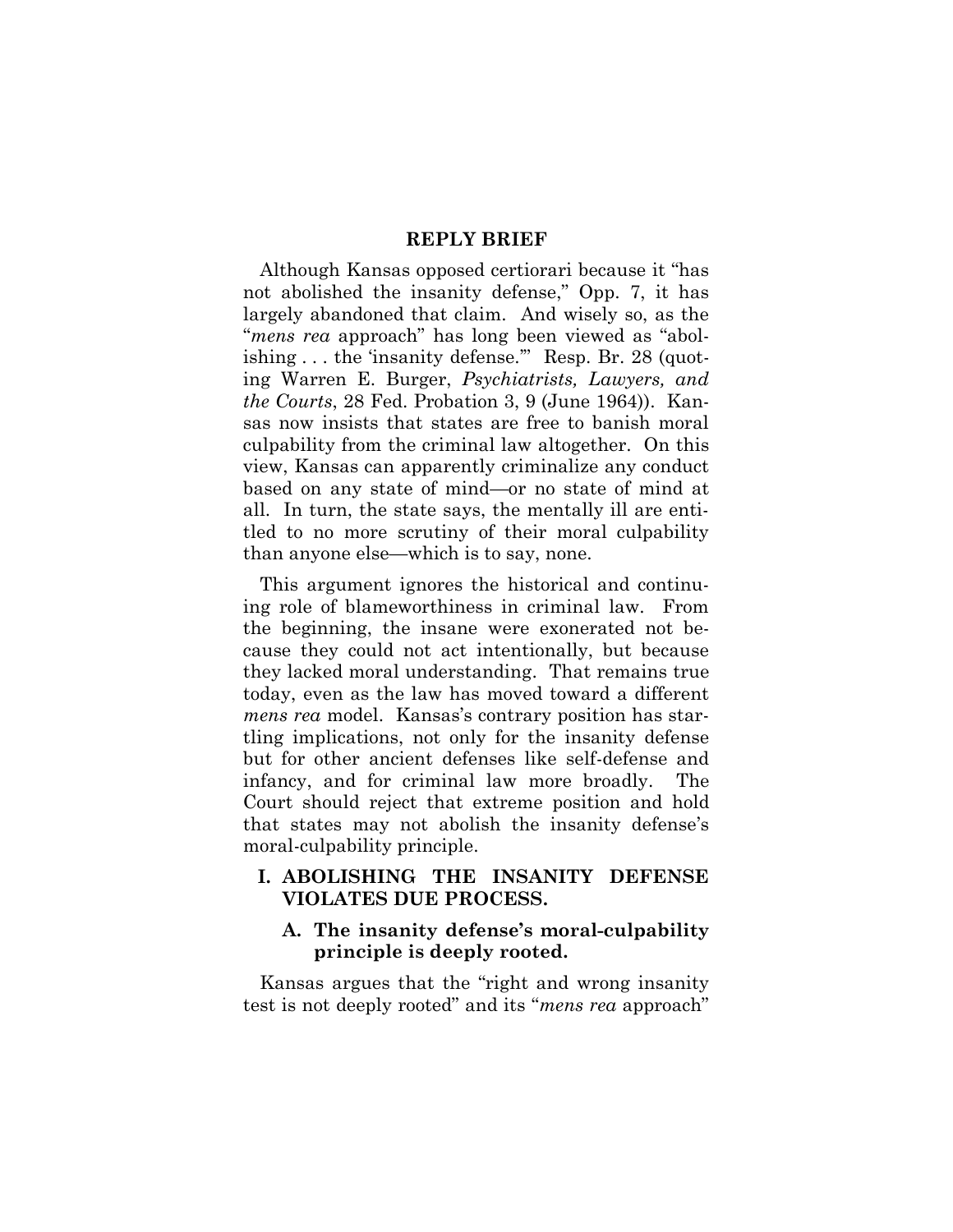#### **REPLY BRIEF**

Although Kansas opposed certiorari because it "has not abolished the insanity defense," Opp. 7, it has largely abandoned that claim. And wisely so, as the "*mens rea* approach" has long been viewed as "abolishing . . . the 'insanity defense." Resp. Br. 28 (quoting Warren E. Burger, *Psychiatrists, Lawyers, and the Courts*, 28 Fed. Probation 3, 9 (June 1964)). Kansas now insists that states are free to banish moral culpability from the criminal law altogether. On this view, Kansas can apparently criminalize any conduct based on any state of mind—or no state of mind at all. In turn, the state says, the mentally ill are entitled to no more scrutiny of their moral culpability than anyone else—which is to say, none.

This argument ignores the historical and continuing role of blameworthiness in criminal law. From the beginning, the insane were exonerated not because they could not act intentionally, but because they lacked moral understanding. That remains true today, even as the law has moved toward a different *mens rea* model. Kansas's contrary position has startling implications, not only for the insanity defense but for other ancient defenses like self-defense and infancy, and for criminal law more broadly. The Court should reject that extreme position and hold that states may not abolish the insanity defense's moral-culpability principle.

#### **I. ABOLISHING THE INSANITY DEFENSE VIOLATES DUE PROCESS.**

#### **A. The insanity defense's moral-culpability principle is deeply rooted.**

Kansas argues that the "right and wrong insanity test is not deeply rooted" and its "*mens rea* approach"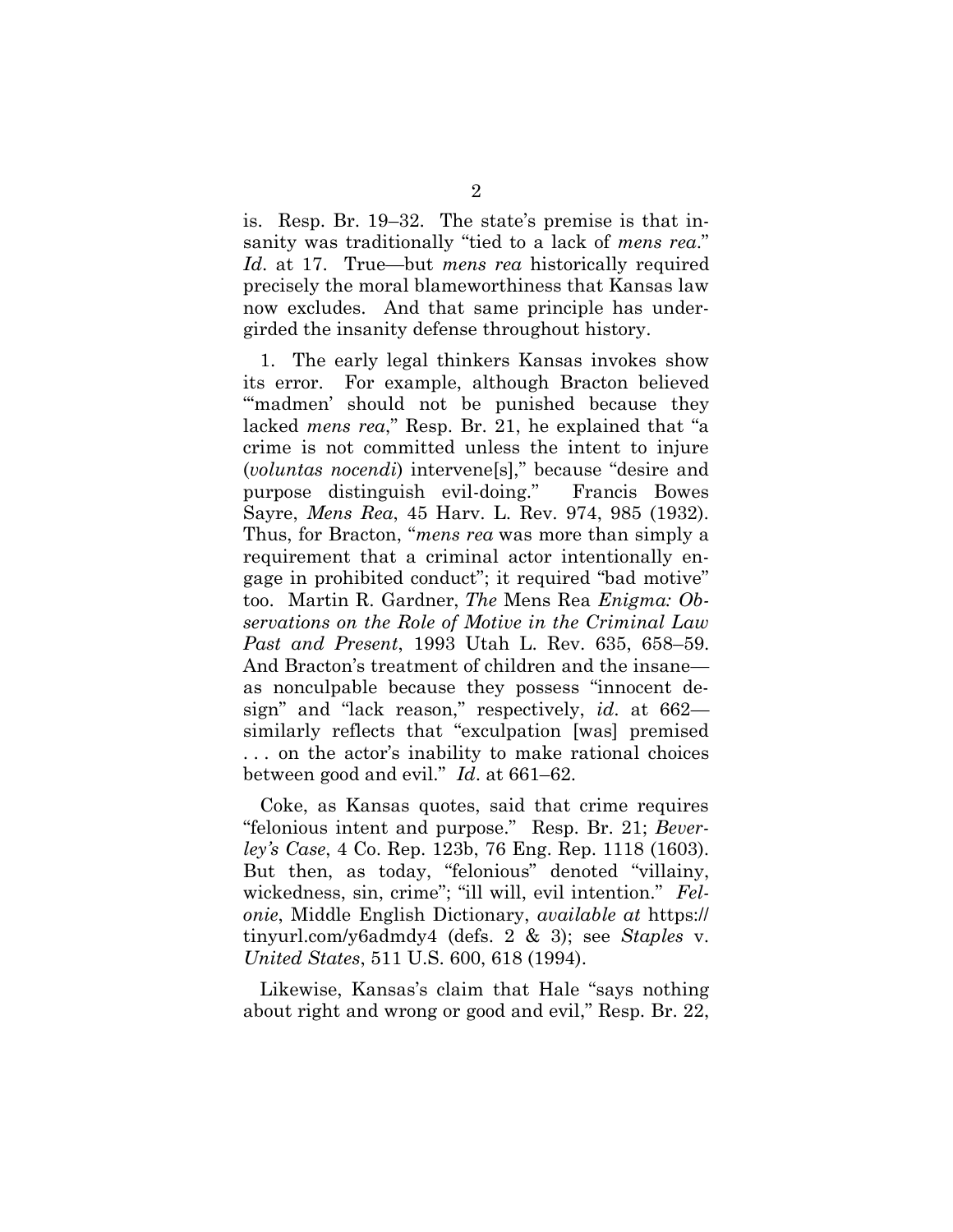is. Resp. Br. 19–32. The state's premise is that insanity was traditionally "tied to a lack of *mens rea*." *Id*. at 17. True—but *mens rea* historically required precisely the moral blameworthiness that Kansas law now excludes. And that same principle has undergirded the insanity defense throughout history.

1. The early legal thinkers Kansas invokes show its error. For example, although Bracton believed "madmen' should not be punished because they lacked *mens rea*," Resp. Br. 21, he explained that "a crime is not committed unless the intent to injure (*voluntas nocendi*) intervene[s]," because "desire and purpose distinguish evil-doing." Francis Bowes Sayre, *Mens Rea*, 45 Harv. L. Rev. 974, 985 (1932). Thus, for Bracton, "*mens rea* was more than simply a requirement that a criminal actor intentionally engage in prohibited conduct"; it required "bad motive" too. Martin R. Gardner, *The* Mens Rea *Enigma: Observations on the Role of Motive in the Criminal Law Past and Present*, 1993 Utah L. Rev. 635, 658–59. And Bracton's treatment of children and the insane as nonculpable because they possess "innocent design" and "lack reason," respectively, *id*. at 662 similarly reflects that "exculpation [was] premised . . . on the actor's inability to make rational choices between good and evil." *Id*. at 661–62.

Coke, as Kansas quotes, said that crime requires "felonious intent and purpose." Resp. Br. 21; *Beverley's Case*, 4 Co. Rep. 123b, 76 Eng. Rep. 1118 (1603). But then, as today, "felonious" denoted "villainy, wickedness, sin, crime"; "ill will, evil intention." *Felonie*, Middle English Dictionary, *available at* https:// tinyurl.com/y6admdy4 (defs. 2 & 3); see *Staples* v. *United States*, 511 U.S. 600, 618 (1994).

Likewise, Kansas's claim that Hale "says nothing about right and wrong or good and evil," Resp. Br. 22,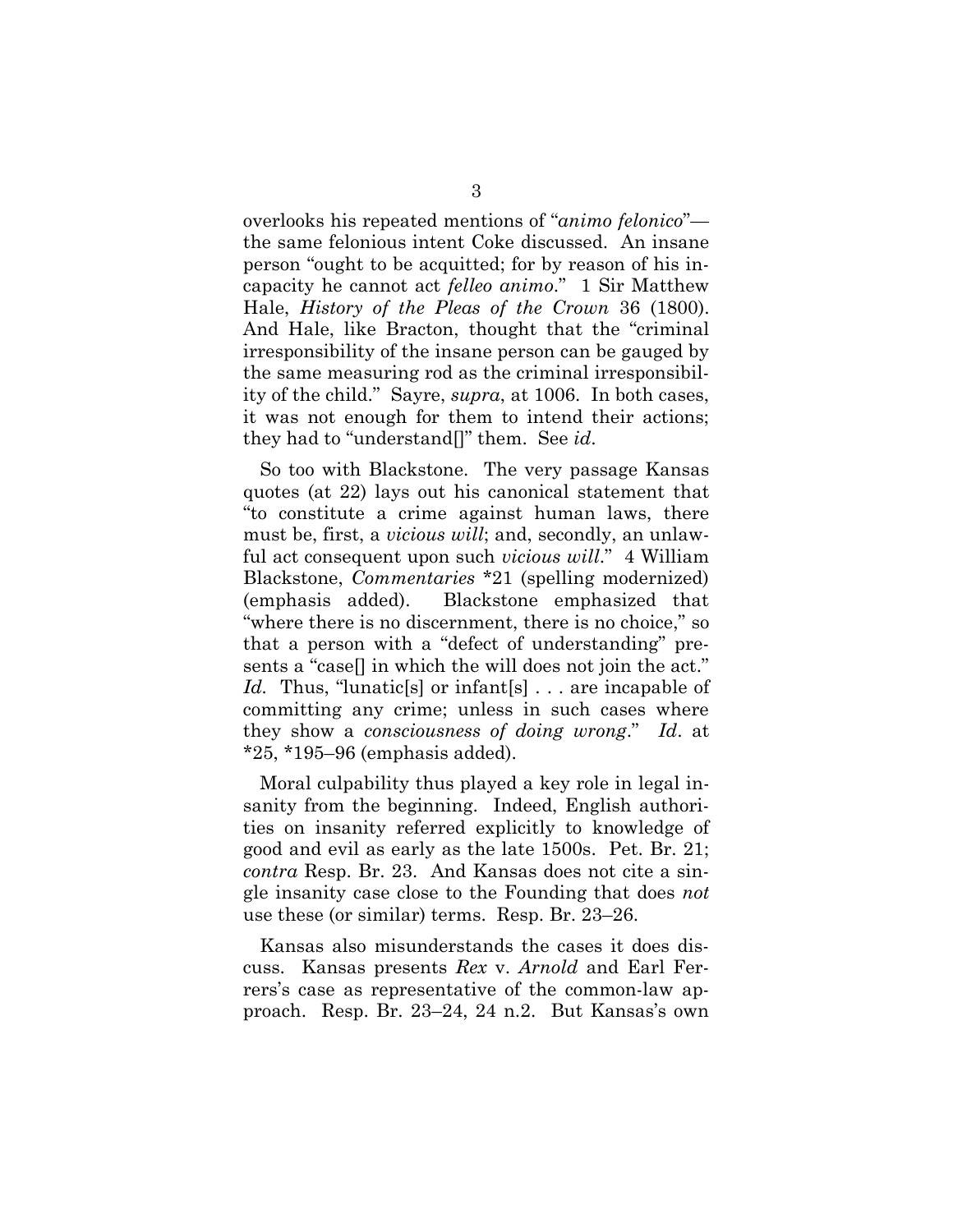overlooks his repeated mentions of "*animo felonico*" the same felonious intent Coke discussed. An insane person "ought to be acquitted; for by reason of his incapacity he cannot act *felleo animo*." 1 Sir Matthew Hale, *History of the Pleas of the Crown* 36 (1800). And Hale, like Bracton, thought that the "criminal irresponsibility of the insane person can be gauged by the same measuring rod as the criminal irresponsibility of the child." Sayre, *supra*, at 1006. In both cases, it was not enough for them to intend their actions; they had to "understand[]" them. See *id*.

So too with Blackstone. The very passage Kansas quotes (at 22) lays out his canonical statement that "to constitute a crime against human laws, there must be, first, a *vicious will*; and, secondly, an unlawful act consequent upon such *vicious will*." 4 William Blackstone, *Commentaries* \*21 (spelling modernized) (emphasis added). Blackstone emphasized that "where there is no discernment, there is no choice," so that a person with a "defect of understanding" presents a "case[] in which the will does not join the act." *Id.* Thus, "lunatic[s] or infant[s] . . . are incapable of committing any crime; unless in such cases where they show a *consciousness of doing wrong*." *Id*. at \*25, \*195–96 (emphasis added).

Moral culpability thus played a key role in legal insanity from the beginning. Indeed, English authorities on insanity referred explicitly to knowledge of good and evil as early as the late 1500s. Pet. Br. 21; *contra* Resp. Br. 23. And Kansas does not cite a single insanity case close to the Founding that does *not* use these (or similar) terms. Resp. Br. 23–26.

Kansas also misunderstands the cases it does discuss. Kansas presents *Rex* v. *Arnold* and Earl Ferrers's case as representative of the common-law approach. Resp. Br. 23–24, 24 n.2. But Kansas's own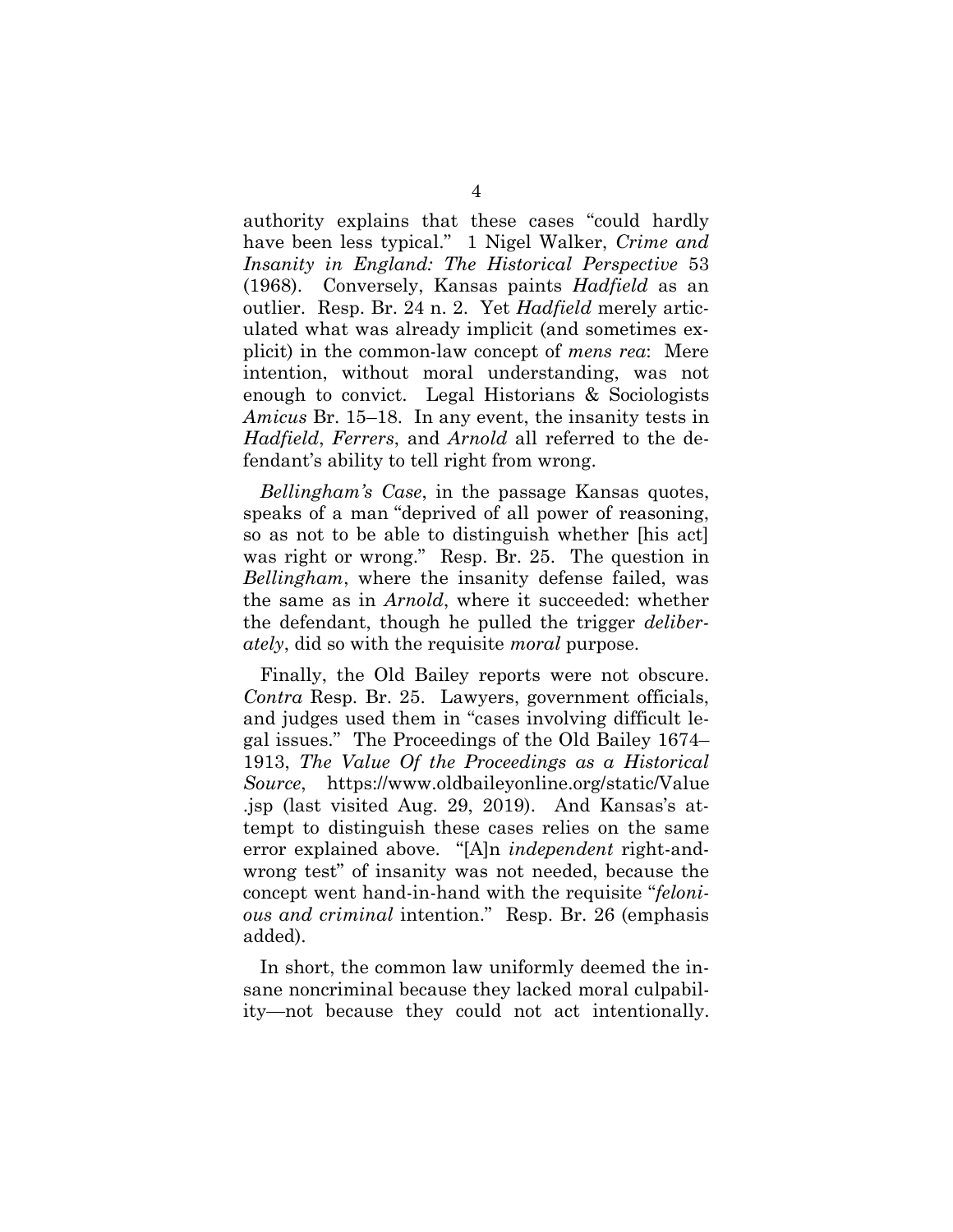authority explains that these cases "could hardly have been less typical." 1 Nigel Walker, *Crime and Insanity in England: The Historical Perspective* 53 (1968). Conversely, Kansas paints *Hadfield* as an outlier. Resp. Br. 24 n. 2. Yet *Hadfield* merely articulated what was already implicit (and sometimes explicit) in the common-law concept of *mens rea*: Mere intention, without moral understanding, was not enough to convict. Legal Historians & Sociologists *Amicus* Br. 15–18. In any event, the insanity tests in *Hadfield*, *Ferrers*, and *Arnold* all referred to the defendant's ability to tell right from wrong.

*Bellingham's Case*, in the passage Kansas quotes, speaks of a man "deprived of all power of reasoning, so as not to be able to distinguish whether [his act] was right or wrong." Resp. Br. 25. The question in *Bellingham*, where the insanity defense failed, was the same as in *Arnold*, where it succeeded: whether the defendant, though he pulled the trigger *deliberately*, did so with the requisite *moral* purpose.

Finally, the Old Bailey reports were not obscure. *Contra* Resp. Br. 25. Lawyers, government officials, and judges used them in "cases involving difficult legal issues." The Proceedings of the Old Bailey 1674– 1913, *The Value Of the Proceedings as a Historical Source*, https://www.oldbaileyonline.org/static/Value .jsp (last visited Aug. 29, 2019). And Kansas's attempt to distinguish these cases relies on the same error explained above. "[A]n *independent* right-andwrong test" of insanity was not needed, because the concept went hand-in-hand with the requisite "*felonious and criminal* intention." Resp. Br. 26 (emphasis added).

In short, the common law uniformly deemed the insane noncriminal because they lacked moral culpability—not because they could not act intentionally.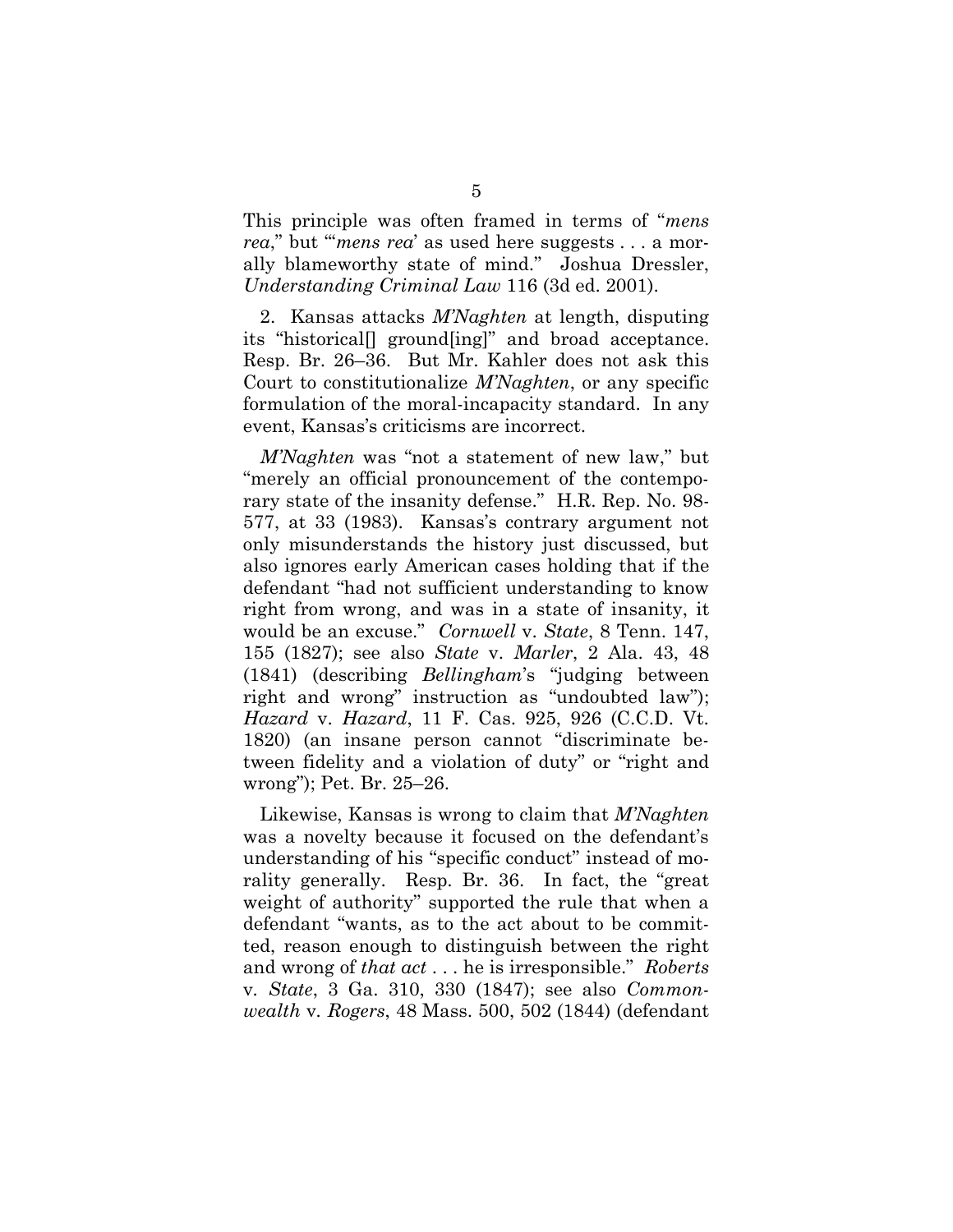This principle was often framed in terms of "*mens rea*," but "*mens rea*' as used here suggests . . . a morally blameworthy state of mind." Joshua Dressler, *Understanding Criminal Law* 116 (3d ed. 2001).

2. Kansas attacks *M'Naghten* at length, disputing its "historical[] ground[ing]" and broad acceptance. Resp. Br. 26–36. But Mr. Kahler does not ask this Court to constitutionalize *M'Naghten*, or any specific formulation of the moral-incapacity standard. In any event, Kansas's criticisms are incorrect.

*M'Naghten* was "not a statement of new law," but "merely an official pronouncement of the contemporary state of the insanity defense." H.R. Rep. No. 98- 577, at 33 (1983). Kansas's contrary argument not only misunderstands the history just discussed, but also ignores early American cases holding that if the defendant "had not sufficient understanding to know right from wrong, and was in a state of insanity, it would be an excuse." *Cornwell* v. *State*, 8 Tenn. 147, 155 (1827); see also *State* v. *Marler*, 2 Ala. 43, 48 (1841) (describing *Bellingham*'s "judging between right and wrong" instruction as "undoubted law"); *Hazard* v. *Hazard*, 11 F. Cas. 925, 926 (C.C.D. Vt. 1820) (an insane person cannot "discriminate between fidelity and a violation of duty" or "right and wrong"); Pet. Br. 25–26.

Likewise, Kansas is wrong to claim that *M'Naghten* was a novelty because it focused on the defendant's understanding of his "specific conduct" instead of morality generally. Resp. Br. 36. In fact, the "great weight of authority" supported the rule that when a defendant "wants, as to the act about to be committed, reason enough to distinguish between the right and wrong of *that act* . . . he is irresponsible." *Roberts*  v*. State*, 3 Ga. 310, 330 (1847); see also *Commonwealth* v*. Rogers*, 48 Mass. 500, 502 (1844) (defendant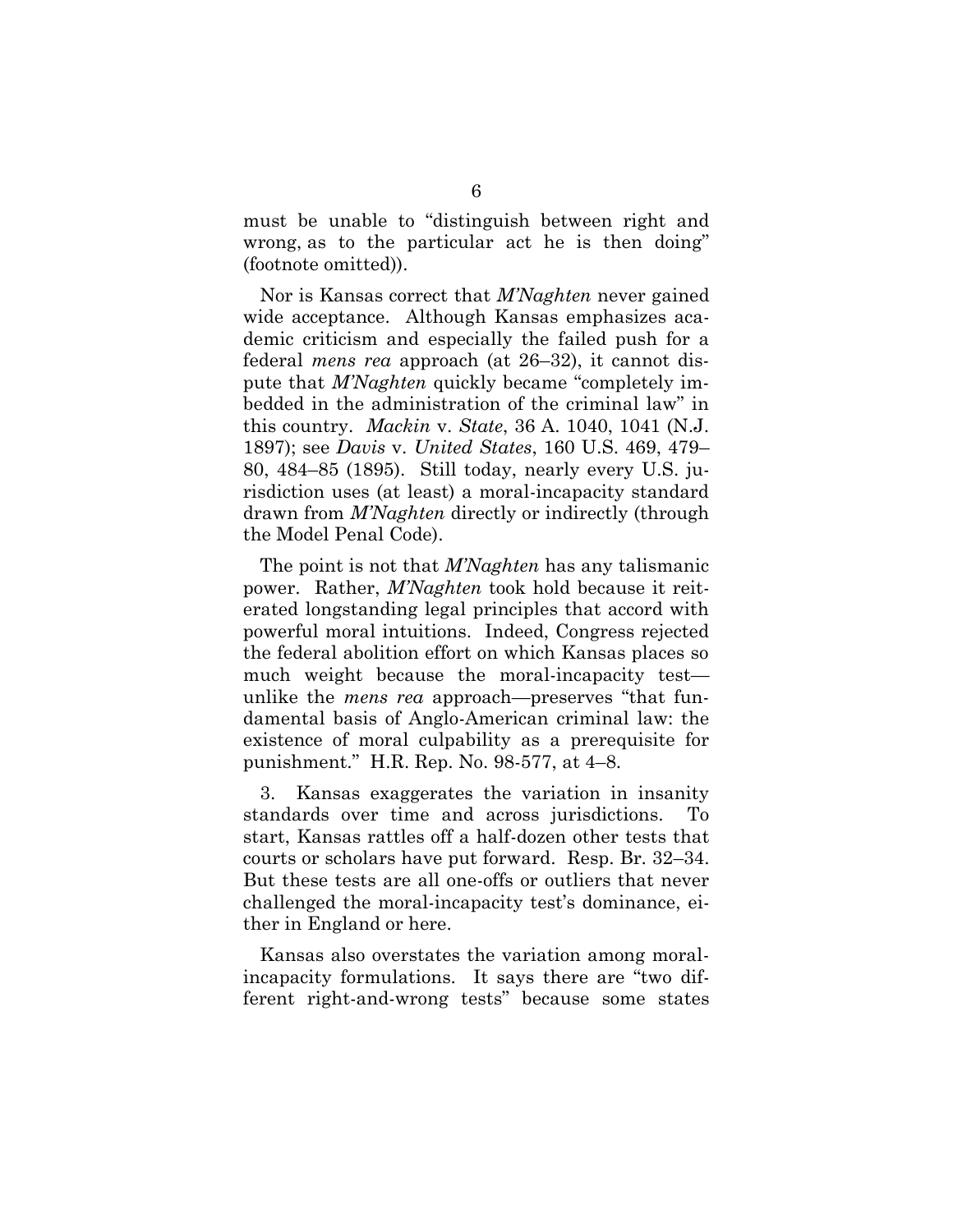must be unable to "distinguish between right and wrong, as to the particular act he is then doing" (footnote omitted)).

Nor is Kansas correct that *M'Naghten* never gained wide acceptance. Although Kansas emphasizes academic criticism and especially the failed push for a federal *mens rea* approach (at 26–32), it cannot dispute that *M'Naghten* quickly became "completely imbedded in the administration of the criminal law" in this country. *Mackin* v. *State*, 36 A. 1040, 1041 (N.J. 1897); see *Davis* v. *United States*, 160 U.S. 469, 479– 80, 484–85 (1895). Still today, nearly every U.S. jurisdiction uses (at least) a moral-incapacity standard drawn from *M'Naghten* directly or indirectly (through the Model Penal Code).

The point is not that *M'Naghten* has any talismanic power. Rather, *M'Naghten* took hold because it reiterated longstanding legal principles that accord with powerful moral intuitions. Indeed, Congress rejected the federal abolition effort on which Kansas places so much weight because the moral-incapacity test unlike the *mens rea* approach—preserves "that fundamental basis of Anglo-American criminal law: the existence of moral culpability as a prerequisite for punishment." H.R. Rep. No. 98-577, at 4–8.

3. Kansas exaggerates the variation in insanity standards over time and across jurisdictions. To start, Kansas rattles off a half-dozen other tests that courts or scholars have put forward. Resp. Br. 32–34. But these tests are all one-offs or outliers that never challenged the moral-incapacity test's dominance, either in England or here.

Kansas also overstates the variation among moralincapacity formulations. It says there are "two different right-and-wrong tests" because some states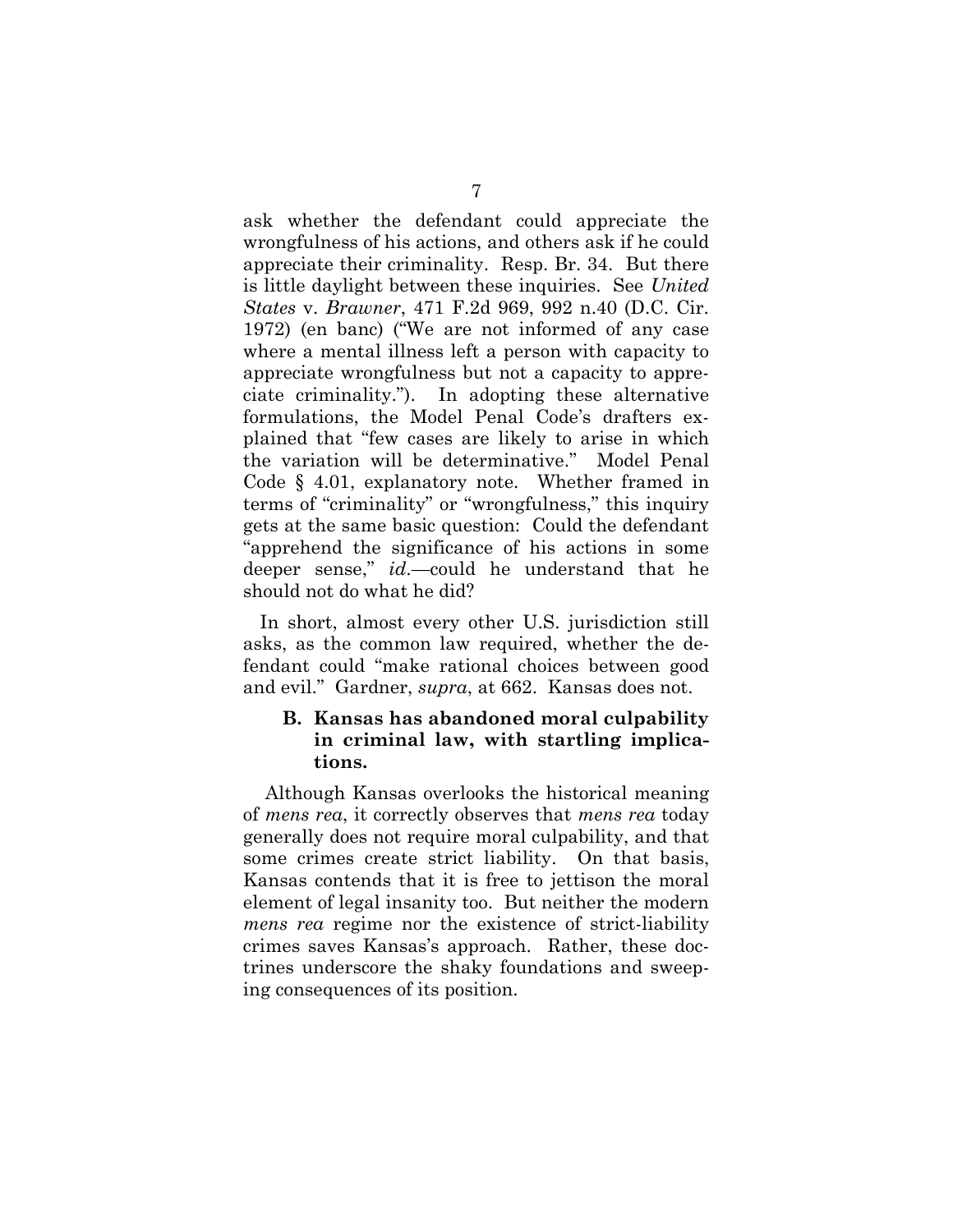ask whether the defendant could appreciate the wrongfulness of his actions, and others ask if he could appreciate their criminality. Resp. Br. 34. But there is little daylight between these inquiries. See *United States* v. *Brawner*, 471 F.2d 969, 992 n.40 (D.C. Cir. 1972) (en banc) ("We are not informed of any case where a mental illness left a person with capacity to appreciate wrongfulness but not a capacity to appreciate criminality."). In adopting these alternative formulations, the Model Penal Code's drafters explained that "few cases are likely to arise in which the variation will be determinative." Model Penal Code § 4.01, explanatory note. Whether framed in terms of "criminality" or "wrongfulness," this inquiry gets at the same basic question: Could the defendant "apprehend the significance of his actions in some deeper sense," *id*.—could he understand that he should not do what he did?

In short, almost every other U.S. jurisdiction still asks, as the common law required, whether the defendant could "make rational choices between good and evil." Gardner, *supra*, at 662. Kansas does not.

#### **B. Kansas has abandoned moral culpability in criminal law, with startling implications.**

Although Kansas overlooks the historical meaning of *mens rea*, it correctly observes that *mens rea* today generally does not require moral culpability, and that some crimes create strict liability. On that basis, Kansas contends that it is free to jettison the moral element of legal insanity too. But neither the modern *mens rea* regime nor the existence of strict-liability crimes saves Kansas's approach. Rather, these doctrines underscore the shaky foundations and sweeping consequences of its position.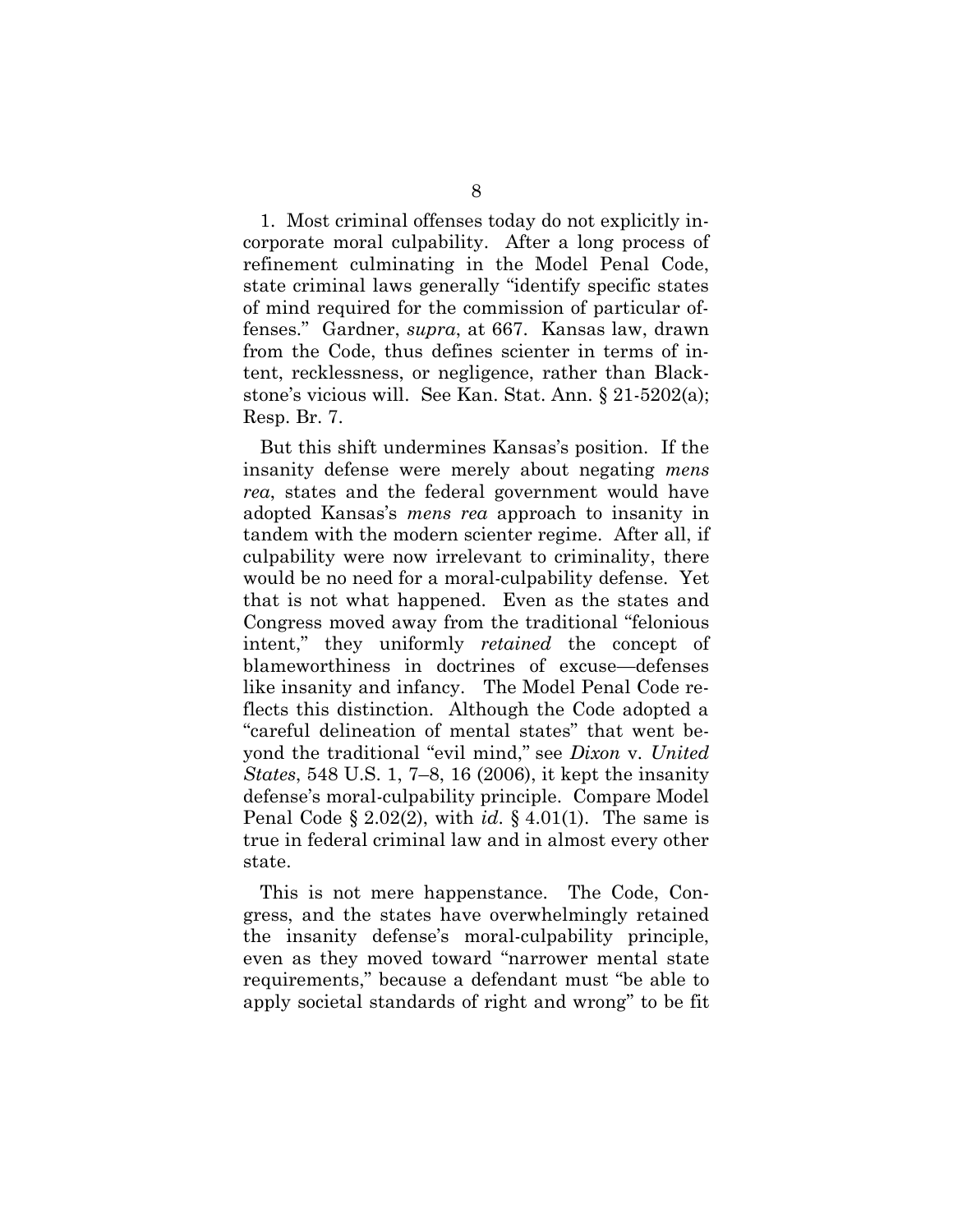1. Most criminal offenses today do not explicitly incorporate moral culpability. After a long process of refinement culminating in the Model Penal Code, state criminal laws generally "identify specific states of mind required for the commission of particular offenses." Gardner, *supra*, at 667. Kansas law, drawn from the Code, thus defines scienter in terms of intent, recklessness, or negligence, rather than Blackstone's vicious will. See Kan. Stat. Ann. § 21-5202(a); Resp. Br. 7.

But this shift undermines Kansas's position. If the insanity defense were merely about negating *mens rea*, states and the federal government would have adopted Kansas's *mens rea* approach to insanity in tandem with the modern scienter regime. After all, if culpability were now irrelevant to criminality, there would be no need for a moral-culpability defense. Yet that is not what happened. Even as the states and Congress moved away from the traditional "felonious intent," they uniformly *retained* the concept of blameworthiness in doctrines of excuse—defenses like insanity and infancy. The Model Penal Code reflects this distinction. Although the Code adopted a "careful delineation of mental states" that went beyond the traditional "evil mind," see *Dixon* v*. United States*, 548 U.S. 1, 7–8, 16 (2006), it kept the insanity defense's moral-culpability principle. Compare Model Penal Code § 2.02(2), with *id*. § 4.01(1). The same is true in federal criminal law and in almost every other state.

This is not mere happenstance. The Code, Congress, and the states have overwhelmingly retained the insanity defense's moral-culpability principle, even as they moved toward "narrower mental state requirements," because a defendant must "be able to apply societal standards of right and wrong" to be fit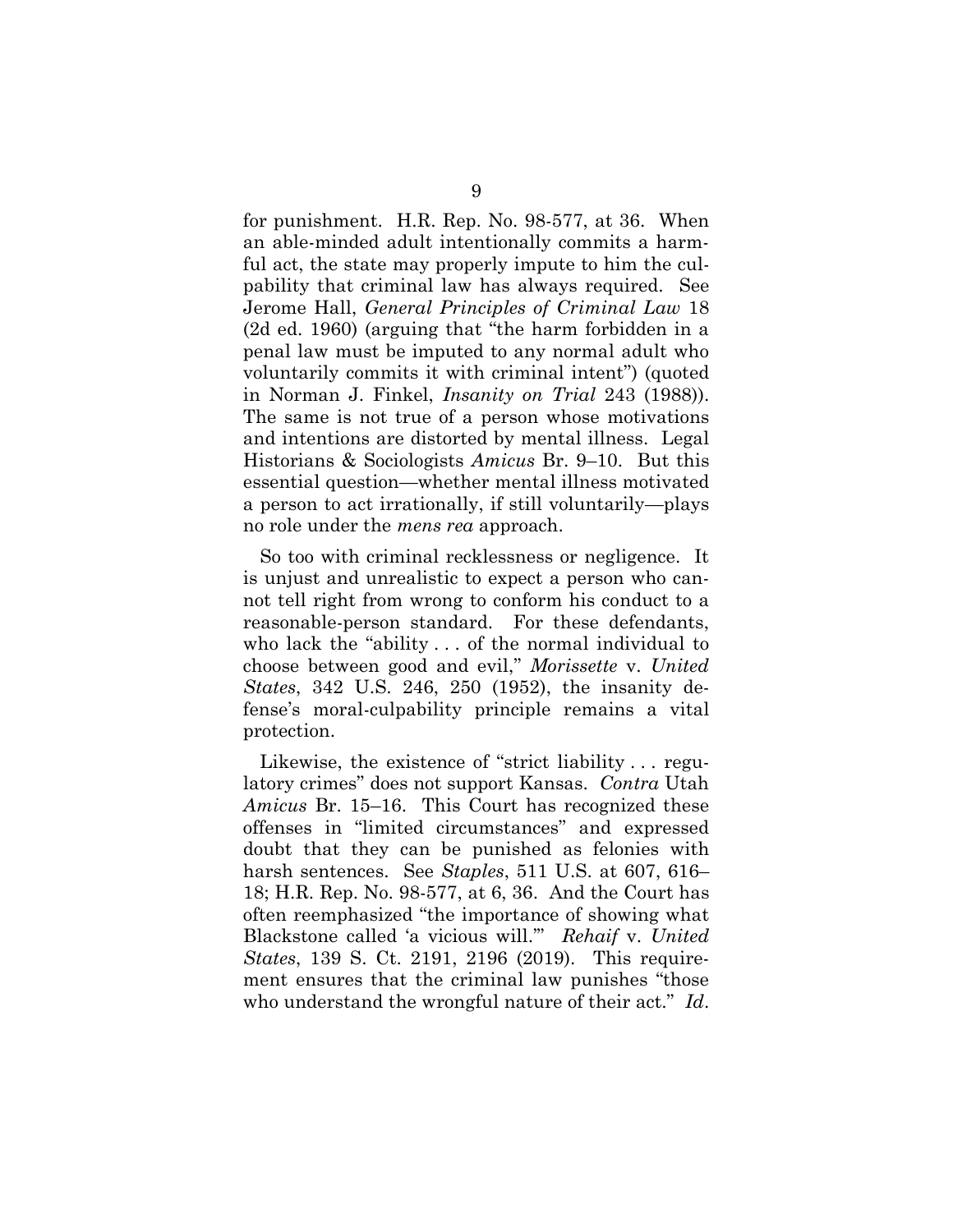for punishment. H.R. Rep. No. 98-577, at 36. When an able-minded adult intentionally commits a harmful act, the state may properly impute to him the culpability that criminal law has always required. See Jerome Hall, *General Principles of Criminal Law* 18 (2d ed. 1960) (arguing that "the harm forbidden in a penal law must be imputed to any normal adult who voluntarily commits it with criminal intent") (quoted in Norman J. Finkel, *Insanity on Trial* 243 (1988)). The same is not true of a person whose motivations and intentions are distorted by mental illness. Legal Historians & Sociologists *Amicus* Br. 9–10. But this essential question—whether mental illness motivated a person to act irrationally, if still voluntarily—plays no role under the *mens rea* approach.

So too with criminal recklessness or negligence. It is unjust and unrealistic to expect a person who cannot tell right from wrong to conform his conduct to a reasonable-person standard. For these defendants, who lack the "ability . . . of the normal individual to choose between good and evil," *Morissette* v. *United States*, 342 U.S. 246, 250 (1952), the insanity defense's moral-culpability principle remains a vital protection.

Likewise, the existence of "strict liability . . . regulatory crimes" does not support Kansas. *Contra* Utah *Amicus* Br. 15–16. This Court has recognized these offenses in "limited circumstances" and expressed doubt that they can be punished as felonies with harsh sentences. See *Staples*, 511 U.S. at 607, 616– 18; H.R. Rep. No. 98-577, at 6, 36. And the Court has often reemphasized "the importance of showing what Blackstone called 'a vicious will.'" *Rehaif* v. *United States*, 139 S. Ct. 2191, 2196 (2019). This requirement ensures that the criminal law punishes "those who understand the wrongful nature of their act." *Id*.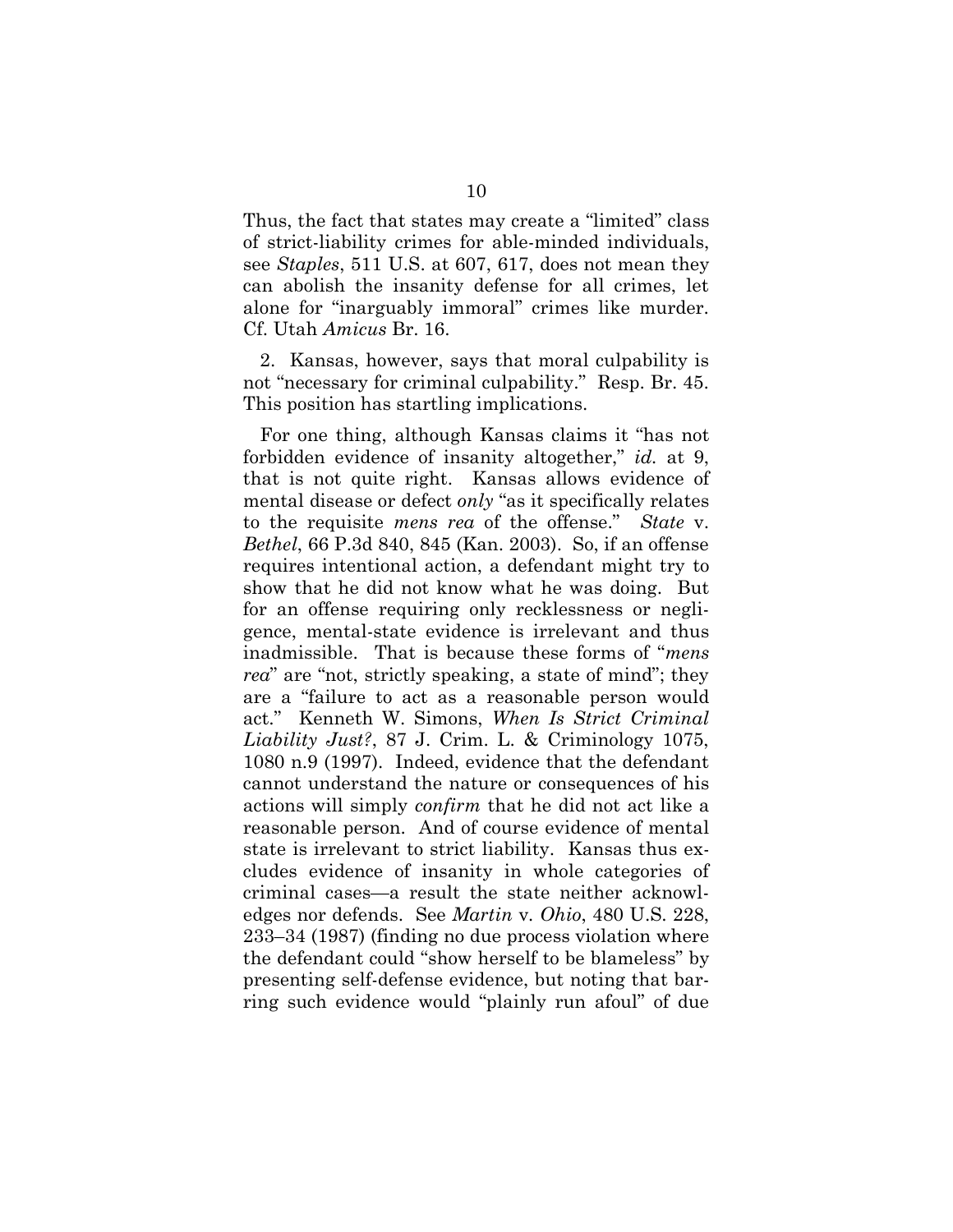Thus, the fact that states may create a "limited" class of strict-liability crimes for able-minded individuals, see *Staples*, 511 U.S. at 607, 617, does not mean they can abolish the insanity defense for all crimes, let alone for "inarguably immoral" crimes like murder. Cf. Utah *Amicus* Br. 16.

2. Kansas, however, says that moral culpability is not "necessary for criminal culpability." Resp. Br. 45. This position has startling implications.

For one thing, although Kansas claims it "has not forbidden evidence of insanity altogether," *id.* at 9, that is not quite right. Kansas allows evidence of mental disease or defect *only* "as it specifically relates to the requisite *mens rea* of the offense." *State* v. *Bethel*, 66 P.3d 840, 845 (Kan. 2003). So, if an offense requires intentional action, a defendant might try to show that he did not know what he was doing. But for an offense requiring only recklessness or negligence, mental-state evidence is irrelevant and thus inadmissible. That is because these forms of "*mens rea*" are "not, strictly speaking, a state of mind"; they are a "failure to act as a reasonable person would act." Kenneth W. Simons, *When Is Strict Criminal Liability Just?*, 87 J. Crim. L. & Criminology 1075, 1080 n.9 (1997). Indeed, evidence that the defendant cannot understand the nature or consequences of his actions will simply *confirm* that he did not act like a reasonable person. And of course evidence of mental state is irrelevant to strict liability. Kansas thus excludes evidence of insanity in whole categories of criminal cases—a result the state neither acknowledges nor defends. See *Martin* v*. Ohio*, 480 U.S. 228, 233–34 (1987) (finding no due process violation where the defendant could "show herself to be blameless" by presenting self-defense evidence, but noting that barring such evidence would "plainly run afoul" of due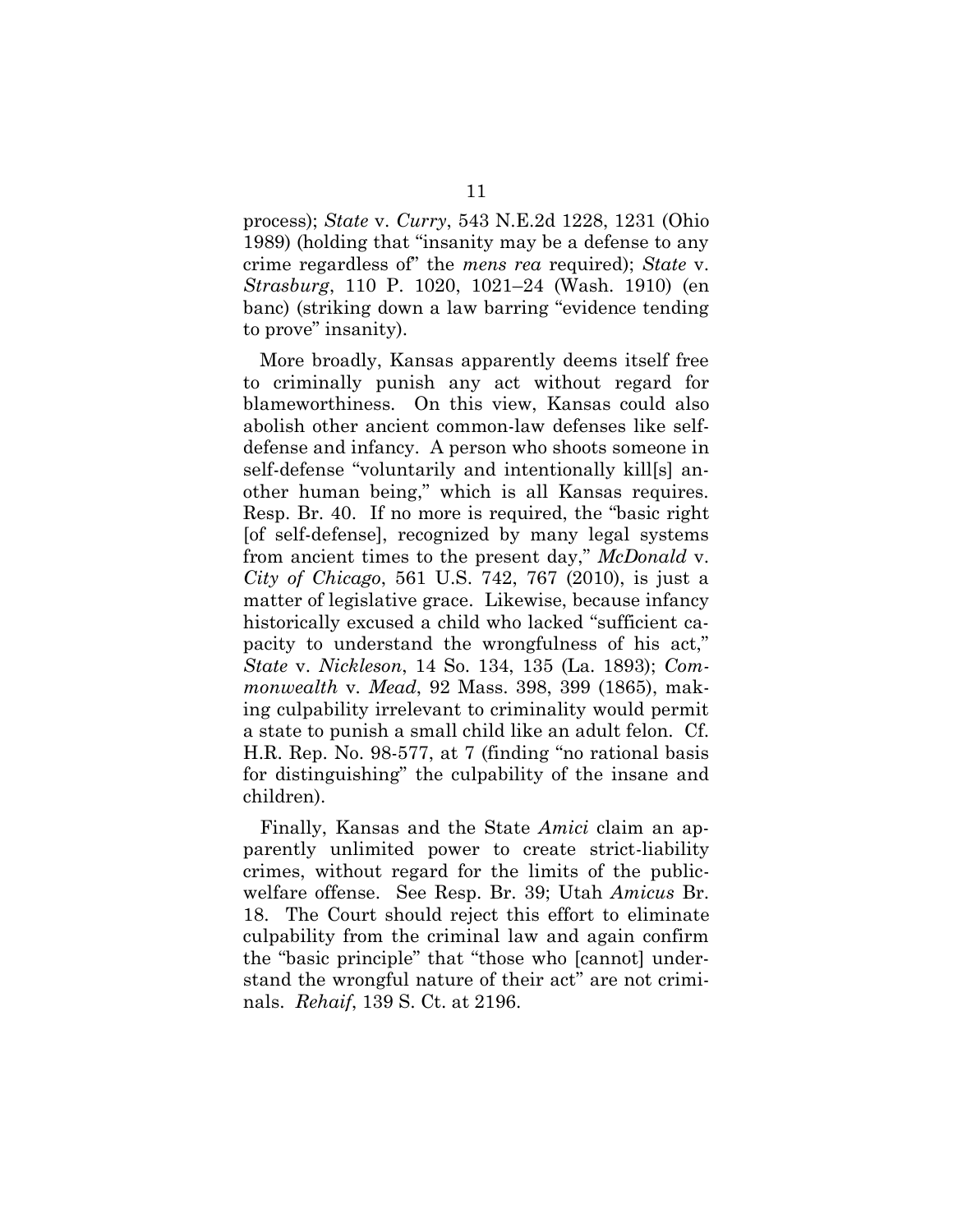process); *State* v. *Curry*, 543 N.E.2d 1228, 1231 (Ohio 1989) (holding that "insanity may be a defense to any crime regardless of" the *mens rea* required); *State* v. *Strasburg*, 110 P. 1020, 1021–24 (Wash. 1910) (en banc) (striking down a law barring "evidence tending to prove" insanity).

More broadly, Kansas apparently deems itself free to criminally punish any act without regard for blameworthiness. On this view, Kansas could also abolish other ancient common-law defenses like selfdefense and infancy. A person who shoots someone in self-defense "voluntarily and intentionally kill[s] another human being," which is all Kansas requires. Resp. Br. 40. If no more is required, the "basic right [of self-defense], recognized by many legal systems from ancient times to the present day," *McDonald* v. *City of Chicago*, 561 U.S. 742, 767 (2010), is just a matter of legislative grace. Likewise, because infancy historically excused a child who lacked "sufficient capacity to understand the wrongfulness of his act," *State* v. *Nickleson*, 14 So. 134, 135 (La. 1893); *Commonwealth* v*. Mead*, 92 Mass. 398, 399 (1865), making culpability irrelevant to criminality would permit a state to punish a small child like an adult felon. Cf. H.R. Rep. No. 98-577, at 7 (finding "no rational basis for distinguishing" the culpability of the insane and children).

Finally, Kansas and the State *Amici* claim an apparently unlimited power to create strict-liability crimes, without regard for the limits of the publicwelfare offense. See Resp. Br. 39; Utah *Amicus* Br. 18. The Court should reject this effort to eliminate culpability from the criminal law and again confirm the "basic principle" that "those who [cannot] understand the wrongful nature of their act" are not criminals. *Rehaif*, 139 S. Ct. at 2196.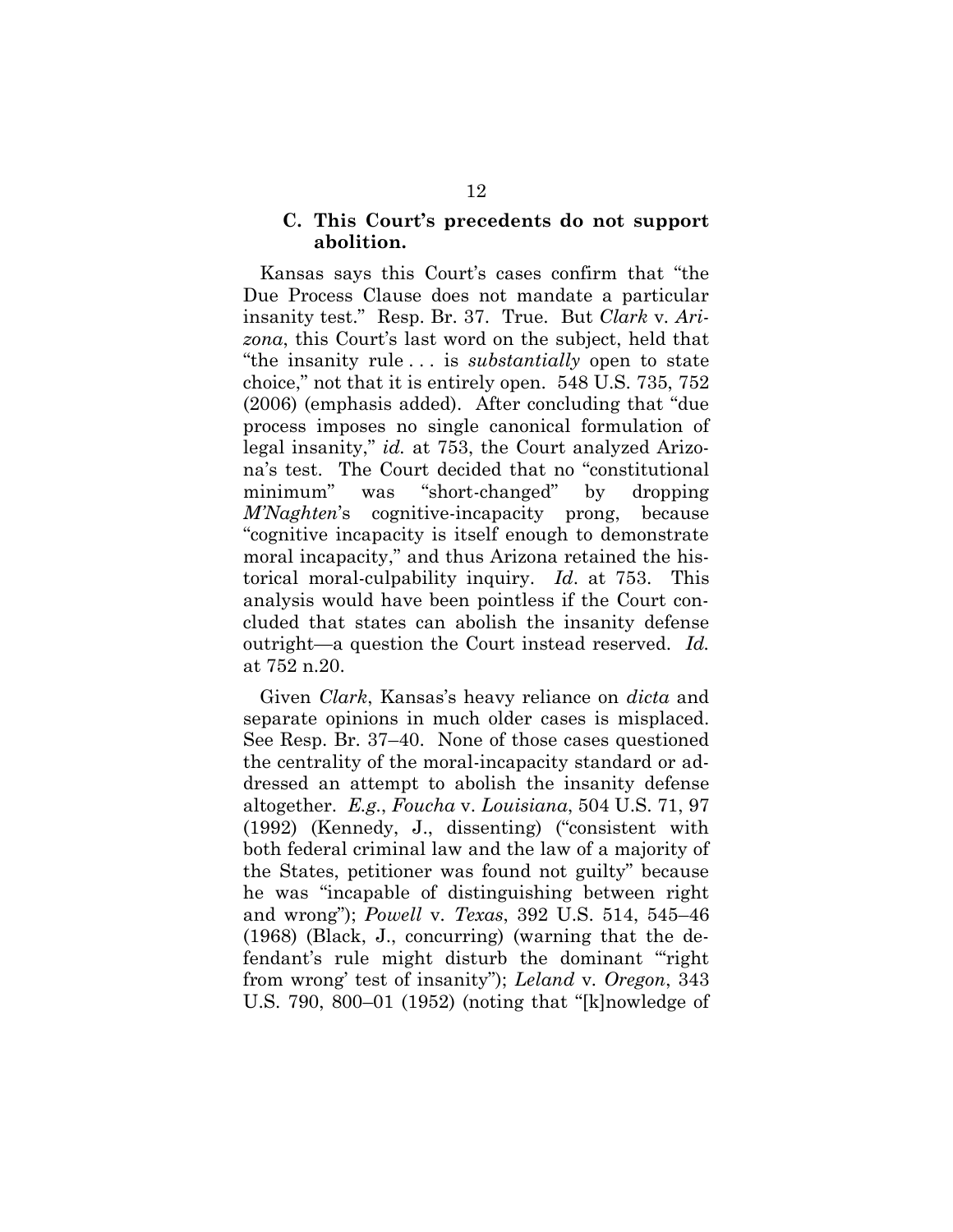#### **C. This Court's precedents do not support abolition.**

Kansas says this Court's cases confirm that "the Due Process Clause does not mandate a particular insanity test." Resp. Br. 37. True. But *Clark* v*. Arizona*, this Court's last word on the subject, held that "the insanity rule . . . is *substantially* open to state choice," not that it is entirely open. 548 U.S. 735, 752 (2006) (emphasis added). After concluding that "due process imposes no single canonical formulation of legal insanity," *id.* at 753, the Court analyzed Arizona's test. The Court decided that no "constitutional minimum" was "short-changed" by dropping *M'Naghten*'s cognitive-incapacity prong, because "cognitive incapacity is itself enough to demonstrate moral incapacity," and thus Arizona retained the historical moral-culpability inquiry. *Id*. at 753. This analysis would have been pointless if the Court concluded that states can abolish the insanity defense outright—a question the Court instead reserved. *Id.* at 752 n.20.

Given *Clark*, Kansas's heavy reliance on *dicta* and separate opinions in much older cases is misplaced. See Resp. Br. 37–40. None of those cases questioned the centrality of the moral-incapacity standard or addressed an attempt to abolish the insanity defense altogether. *E.g.*, *Foucha* v. *Louisiana*, 504 U.S. 71, 97 (1992) (Kennedy, J., dissenting) ("consistent with both federal criminal law and the law of a majority of the States, petitioner was found not guilty" because he was "incapable of distinguishing between right and wrong"); *Powell* v*. Texas*, 392 U.S. 514, 545–46 (1968) (Black, J., concurring) (warning that the defendant's rule might disturb the dominant "'right from wrong' test of insanity"); *Leland* v*. Oregon*, 343 U.S. 790, 800–01 (1952) (noting that "[k]nowledge of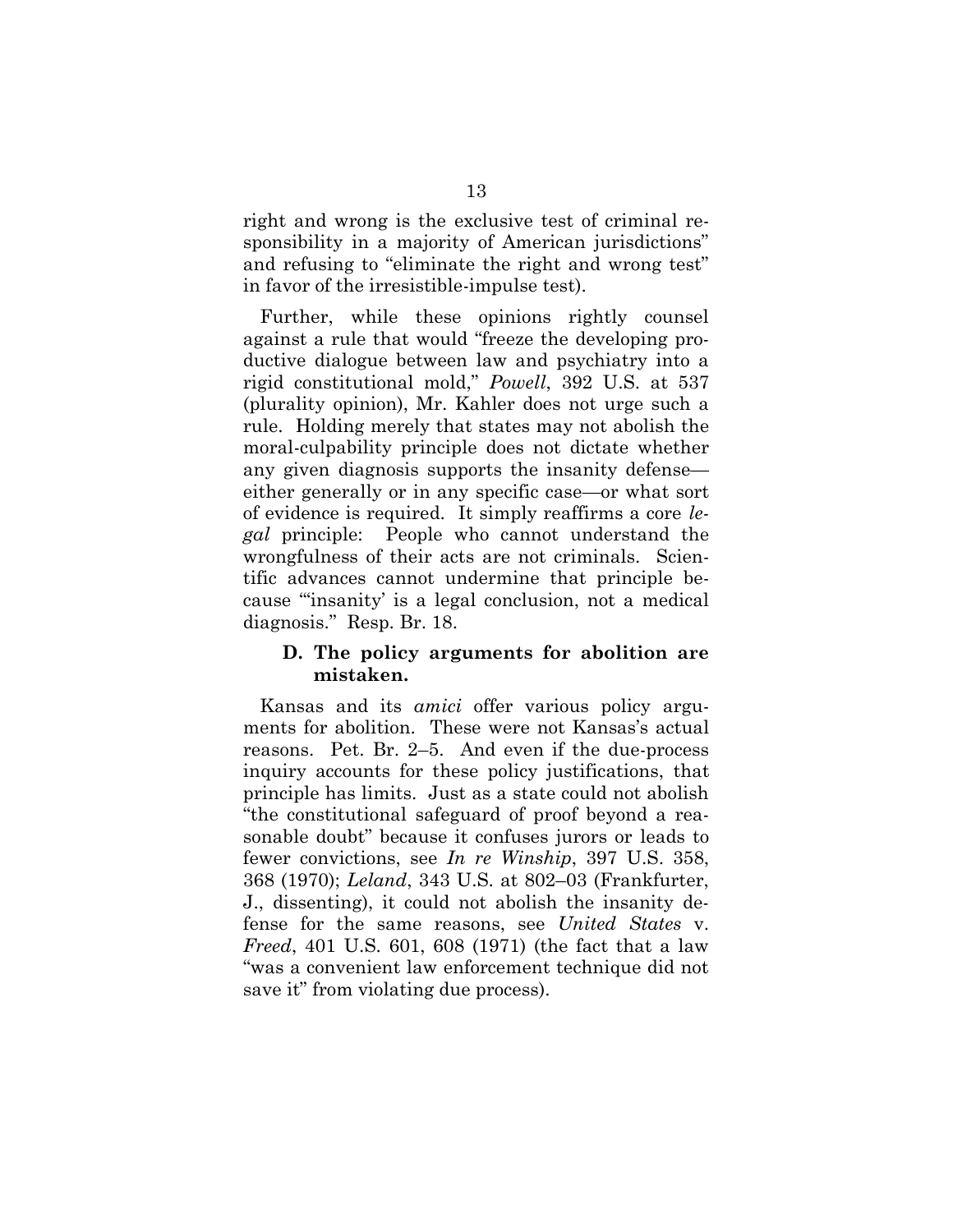right and wrong is the exclusive test of criminal responsibility in a majority of American jurisdictions" and refusing to "eliminate the right and wrong test" in favor of the irresistible-impulse test).

Further, while these opinions rightly counsel against a rule that would "freeze the developing productive dialogue between law and psychiatry into a rigid constitutional mold," *Powell*, 392 U.S. at 537 (plurality opinion), Mr. Kahler does not urge such a rule. Holding merely that states may not abolish the moral-culpability principle does not dictate whether any given diagnosis supports the insanity defense either generally or in any specific case—or what sort of evidence is required. It simply reaffirms a core *legal* principle: People who cannot understand the wrongfulness of their acts are not criminals. Scientific advances cannot undermine that principle because "'insanity' is a legal conclusion, not a medical diagnosis." Resp. Br. 18.

#### **D. The policy arguments for abolition are mistaken.**

Kansas and its *amici* offer various policy arguments for abolition. These were not Kansas's actual reasons. Pet. Br. 2–5. And even if the due-process inquiry accounts for these policy justifications, that principle has limits. Just as a state could not abolish "the constitutional safeguard of proof beyond a reasonable doubt" because it confuses jurors or leads to fewer convictions, see *In re Winship*, 397 U.S. 358, 368 (1970); *Leland*, 343 U.S. at 802–03 (Frankfurter, J., dissenting), it could not abolish the insanity defense for the same reasons, see *United States* v. *Freed*, 401 U.S. 601, 608 (1971) (the fact that a law "was a convenient law enforcement technique did not save it" from violating due process).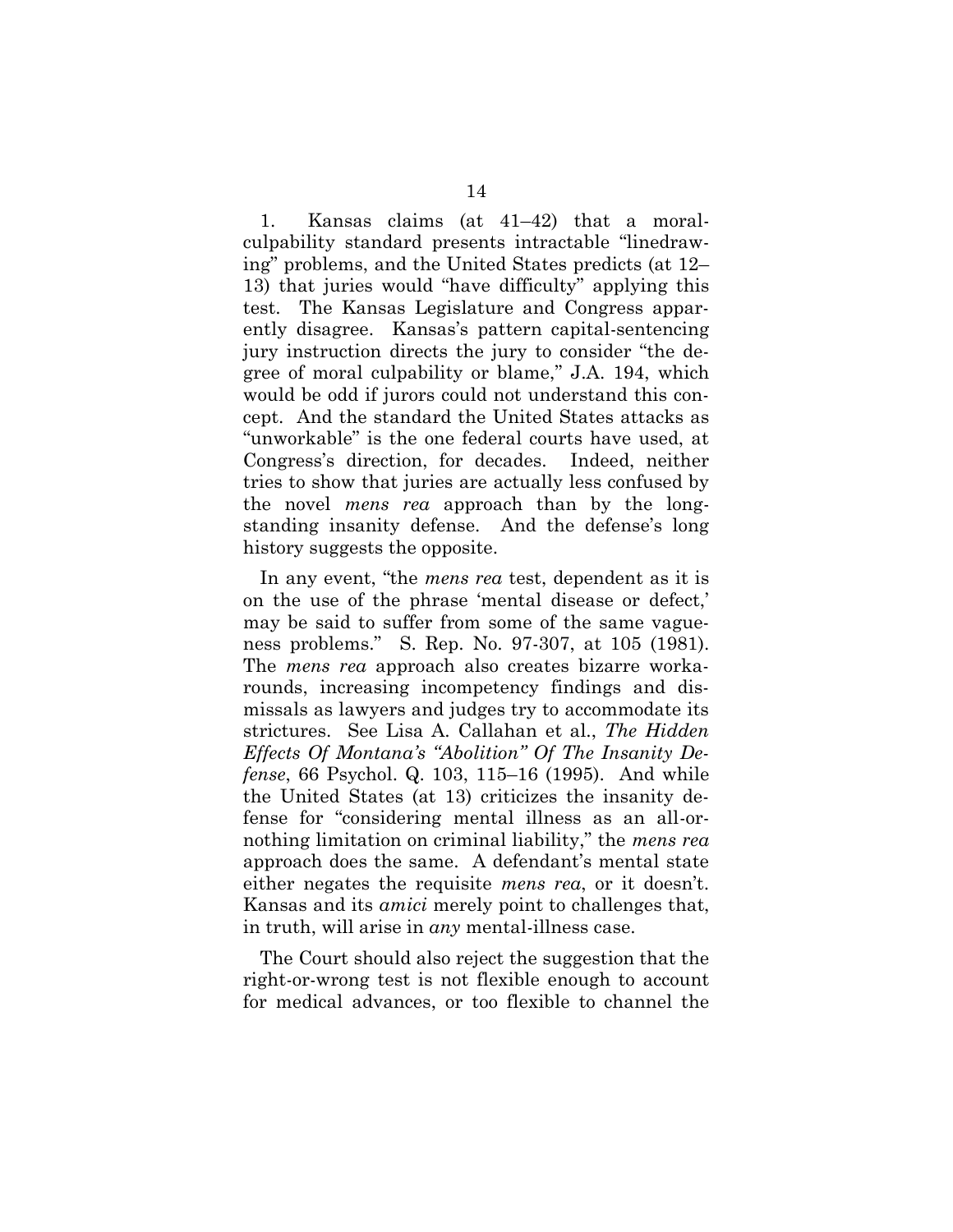1. Kansas claims (at 41–42) that a moralculpability standard presents intractable "linedrawing" problems, and the United States predicts (at 12– 13) that juries would "have difficulty" applying this test. The Kansas Legislature and Congress apparently disagree. Kansas's pattern capital-sentencing jury instruction directs the jury to consider "the degree of moral culpability or blame," J.A. 194, which would be odd if jurors could not understand this concept. And the standard the United States attacks as "unworkable" is the one federal courts have used, at Congress's direction, for decades. Indeed, neither tries to show that juries are actually less confused by the novel *mens rea* approach than by the longstanding insanity defense. And the defense's long history suggests the opposite.

In any event, "the *mens rea* test, dependent as it is on the use of the phrase 'mental disease or defect,' may be said to suffer from some of the same vagueness problems." S. Rep. No. 97-307, at 105 (1981). The *mens rea* approach also creates bizarre workarounds, increasing incompetency findings and dismissals as lawyers and judges try to accommodate its strictures. See Lisa A. Callahan et al., *The Hidden Effects Of Montana's "Abolition" Of The Insanity Defense*, 66 Psychol. Q. 103, 115–16 (1995). And while the United States (at 13) criticizes the insanity defense for "considering mental illness as an all-ornothing limitation on criminal liability," the *mens rea* approach does the same. A defendant's mental state either negates the requisite *mens rea*, or it doesn't. Kansas and its *amici* merely point to challenges that, in truth, will arise in *any* mental-illness case.

The Court should also reject the suggestion that the right-or-wrong test is not flexible enough to account for medical advances, or too flexible to channel the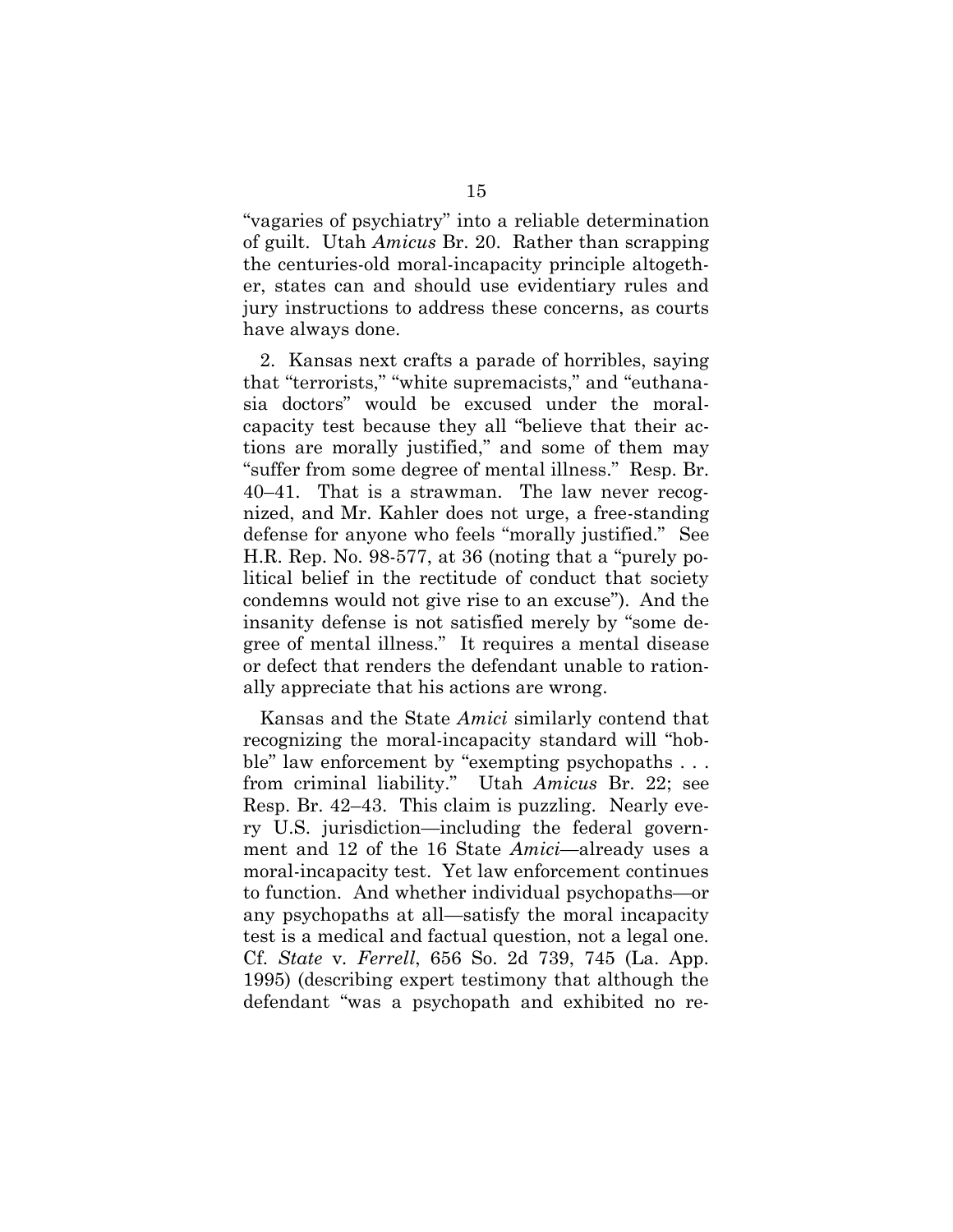"vagaries of psychiatry" into a reliable determination of guilt. Utah *Amicus* Br. 20. Rather than scrapping the centuries-old moral-incapacity principle altogether, states can and should use evidentiary rules and jury instructions to address these concerns, as courts have always done.

2. Kansas next crafts a parade of horribles, saying that "terrorists," "white supremacists," and "euthanasia doctors" would be excused under the moralcapacity test because they all "believe that their actions are morally justified," and some of them may "suffer from some degree of mental illness." Resp. Br. 40–41. That is a strawman. The law never recognized, and Mr. Kahler does not urge, a free-standing defense for anyone who feels "morally justified." See H.R. Rep. No. 98-577, at 36 (noting that a "purely political belief in the rectitude of conduct that society condemns would not give rise to an excuse"). And the insanity defense is not satisfied merely by "some degree of mental illness." It requires a mental disease or defect that renders the defendant unable to rationally appreciate that his actions are wrong.

Kansas and the State *Amici* similarly contend that recognizing the moral-incapacity standard will "hobble" law enforcement by "exempting psychopaths . . . from criminal liability." Utah *Amicus* Br. 22; see Resp. Br. 42–43. This claim is puzzling. Nearly every U.S. jurisdiction—including the federal government and 12 of the 16 State *Amici*—already uses a moral-incapacity test. Yet law enforcement continues to function. And whether individual psychopaths—or any psychopaths at all—satisfy the moral incapacity test is a medical and factual question, not a legal one. Cf. *State* v*. Ferrell*, 656 So. 2d 739, 745 (La. App. 1995) (describing expert testimony that although the defendant "was a psychopath and exhibited no re-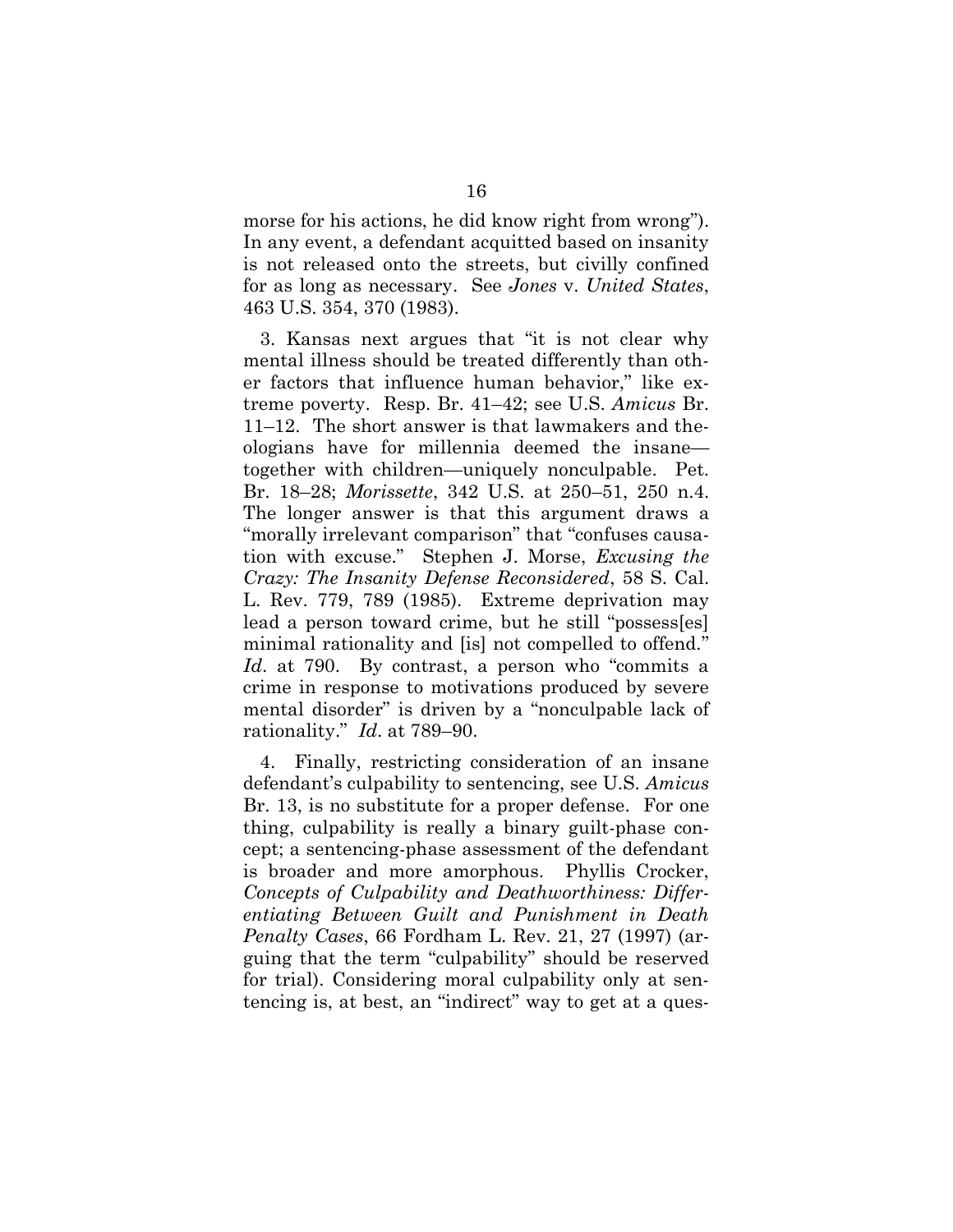morse for his actions, he did know right from wrong"). In any event, a defendant acquitted based on insanity is not released onto the streets, but civilly confined for as long as necessary. See *Jones* v. *United States*, 463 U.S. 354, 370 (1983).

3. Kansas next argues that "it is not clear why mental illness should be treated differently than other factors that influence human behavior," like extreme poverty. Resp. Br. 41–42; see U.S. *Amicus* Br. 11–12. The short answer is that lawmakers and theologians have for millennia deemed the insane together with children—uniquely nonculpable. Pet. Br. 18–28; *Morissette*, 342 U.S. at 250–51, 250 n.4. The longer answer is that this argument draws a "morally irrelevant comparison" that "confuses causation with excuse." Stephen J. Morse, *Excusing the Crazy: The Insanity Defense Reconsidered*, 58 S. Cal. L. Rev. 779, 789 (1985). Extreme deprivation may lead a person toward crime, but he still "possess[es] minimal rationality and [is] not compelled to offend." *Id*. at 790. By contrast, a person who "commits a crime in response to motivations produced by severe mental disorder" is driven by a "nonculpable lack of rationality." *Id*. at 789–90.

4. Finally, restricting consideration of an insane defendant's culpability to sentencing, see U.S. *Amicus*  Br. 13, is no substitute for a proper defense. For one thing, culpability is really a binary guilt-phase concept; a sentencing-phase assessment of the defendant is broader and more amorphous. Phyllis Crocker, *Concepts of Culpability and Deathworthiness: Differentiating Between Guilt and Punishment in Death Penalty Cases*, 66 Fordham L. Rev. 21, 27 (1997) (arguing that the term "culpability" should be reserved for trial). Considering moral culpability only at sentencing is, at best, an "indirect" way to get at a ques-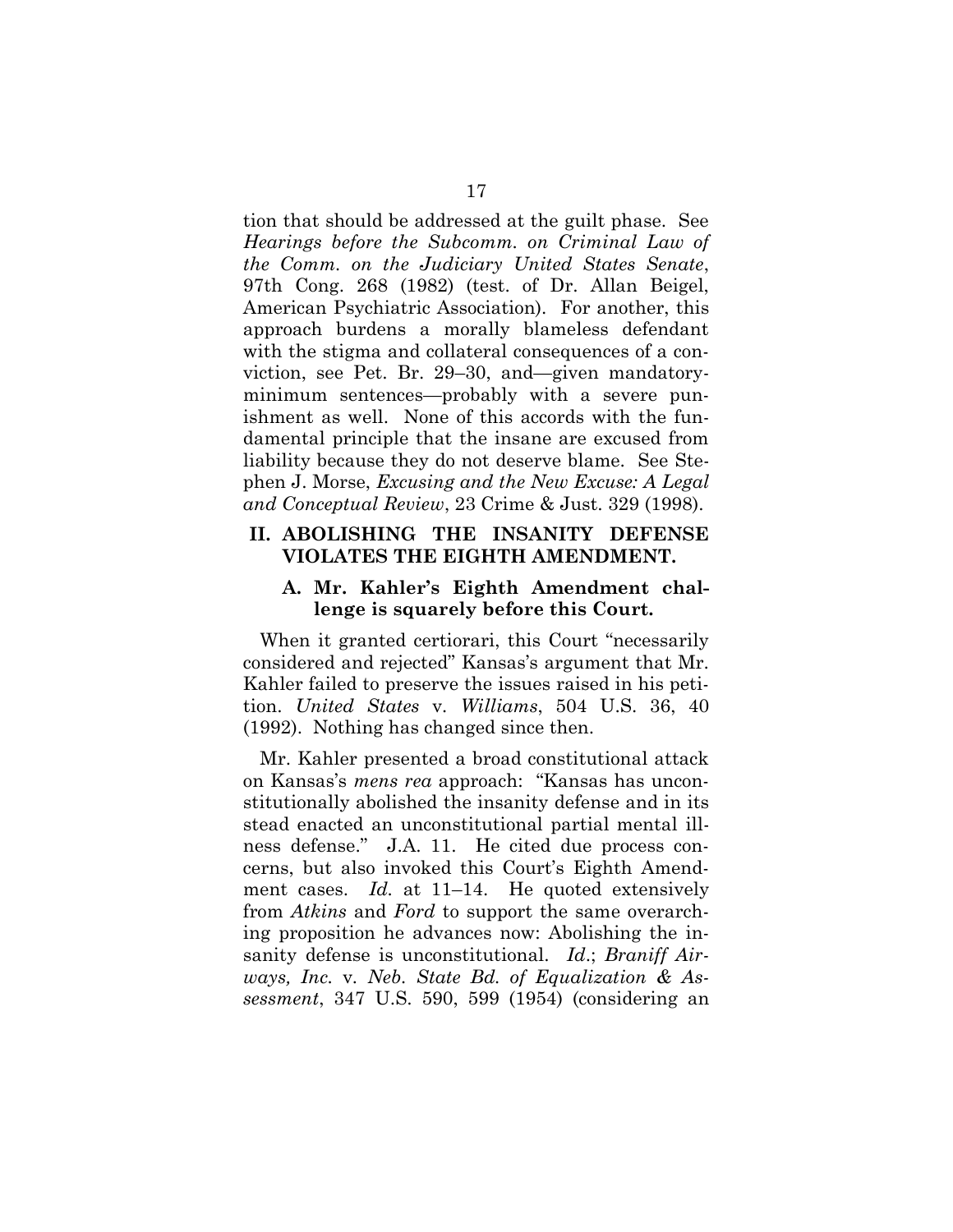tion that should be addressed at the guilt phase. See *Hearings before the Subcomm. on Criminal Law of the Comm. on the Judiciary United States Senate*, 97th Cong. 268 (1982) (test. of Dr. Allan Beigel, American Psychiatric Association). For another, this approach burdens a morally blameless defendant with the stigma and collateral consequences of a conviction, see Pet. Br. 29–30, and—given mandatoryminimum sentences—probably with a severe punishment as well. None of this accords with the fundamental principle that the insane are excused from liability because they do not deserve blame. See Stephen J. Morse, *Excusing and the New Excuse: A Legal and Conceptual Review*, 23 Crime & Just. 329 (1998).

#### **II. ABOLISHING THE INSANITY DEFENSE VIOLATES THE EIGHTH AMENDMENT.**

#### **A. Mr. Kahler's Eighth Amendment challenge is squarely before this Court.**

When it granted certiorari, this Court "necessarily considered and rejected" Kansas's argument that Mr. Kahler failed to preserve the issues raised in his petition. *United States* v*. Williams*, 504 U.S. 36, 40 (1992). Nothing has changed since then.

Mr. Kahler presented a broad constitutional attack on Kansas's *mens rea* approach: "Kansas has unconstitutionally abolished the insanity defense and in its stead enacted an unconstitutional partial mental illness defense." J.A. 11. He cited due process concerns, but also invoked this Court's Eighth Amendment cases. *Id.* at 11–14. He quoted extensively from *Atkins* and *Ford* to support the same overarching proposition he advances now: Abolishing the insanity defense is unconstitutional. *Id*.; *Braniff Airways, Inc.* v*. Neb. State Bd. of Equalization & Assessment*, 347 U.S. 590, 599 (1954) (considering an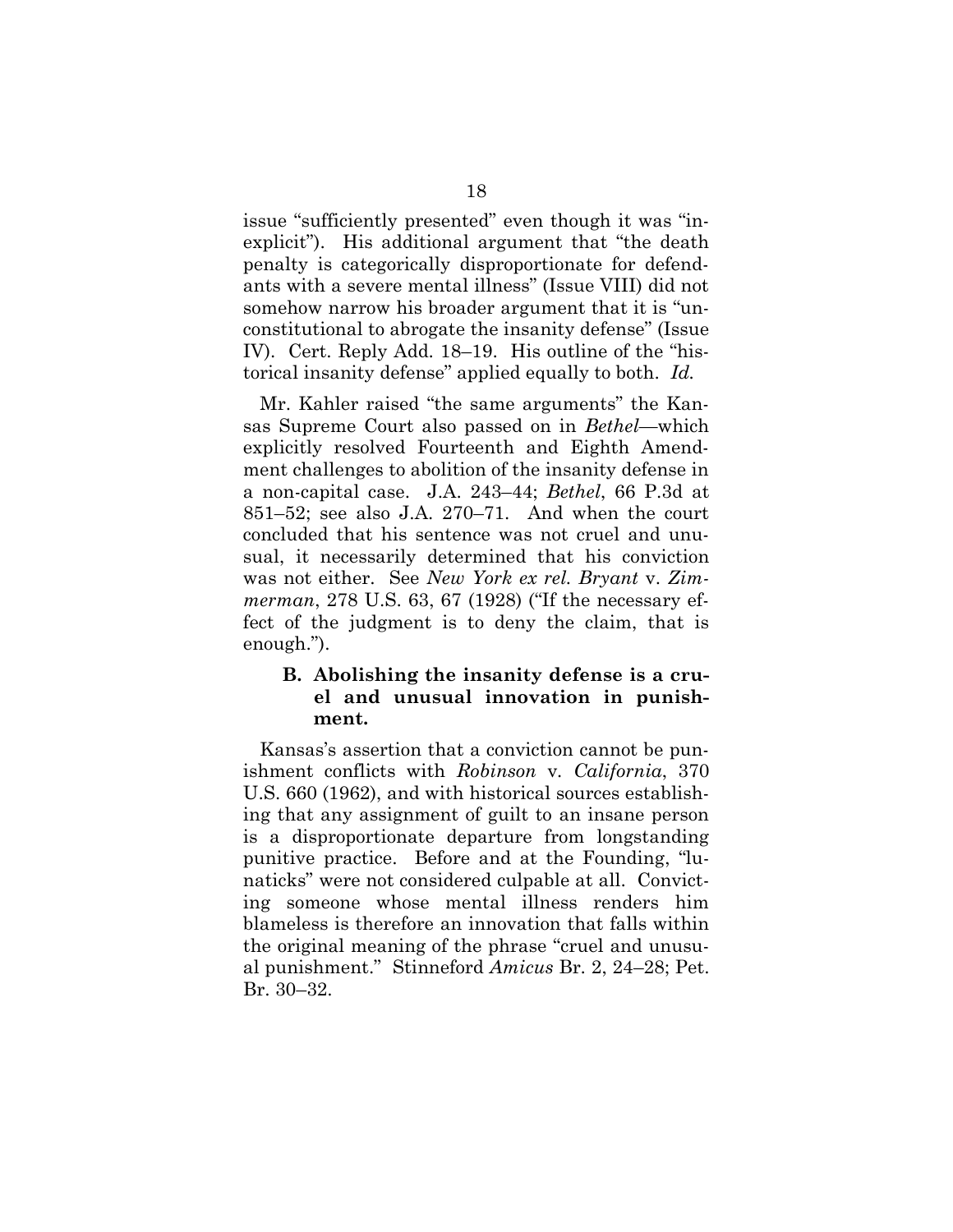issue "sufficiently presented" even though it was "inexplicit"). His additional argument that "the death penalty is categorically disproportionate for defendants with a severe mental illness" (Issue VIII) did not somehow narrow his broader argument that it is "unconstitutional to abrogate the insanity defense" (Issue IV). Cert. Reply Add. 18–19. His outline of the "historical insanity defense" applied equally to both. *Id.*

Mr. Kahler raised "the same arguments" the Kansas Supreme Court also passed on in *Bethel*—which explicitly resolved Fourteenth and Eighth Amendment challenges to abolition of the insanity defense in a non-capital case. J.A. 243–44; *Bethel*, 66 P.3d at 851–52; see also J.A. 270–71. And when the court concluded that his sentence was not cruel and unusual, it necessarily determined that his conviction was not either. See *New York ex rel. Bryant* v. *Zimmerman*, 278 U.S. 63, 67 (1928) ("If the necessary effect of the judgment is to deny the claim, that is enough.").

#### **B. Abolishing the insanity defense is a cruel and unusual innovation in punishment.**

Kansas's assertion that a conviction cannot be punishment conflicts with *Robinson* v*. California*, 370 U.S. 660 (1962), and with historical sources establishing that any assignment of guilt to an insane person is a disproportionate departure from longstanding punitive practice. Before and at the Founding, "lunaticks" were not considered culpable at all. Convicting someone whose mental illness renders him blameless is therefore an innovation that falls within the original meaning of the phrase "cruel and unusual punishment." Stinneford *Amicus* Br. 2, 24–28; Pet. Br. 30–32.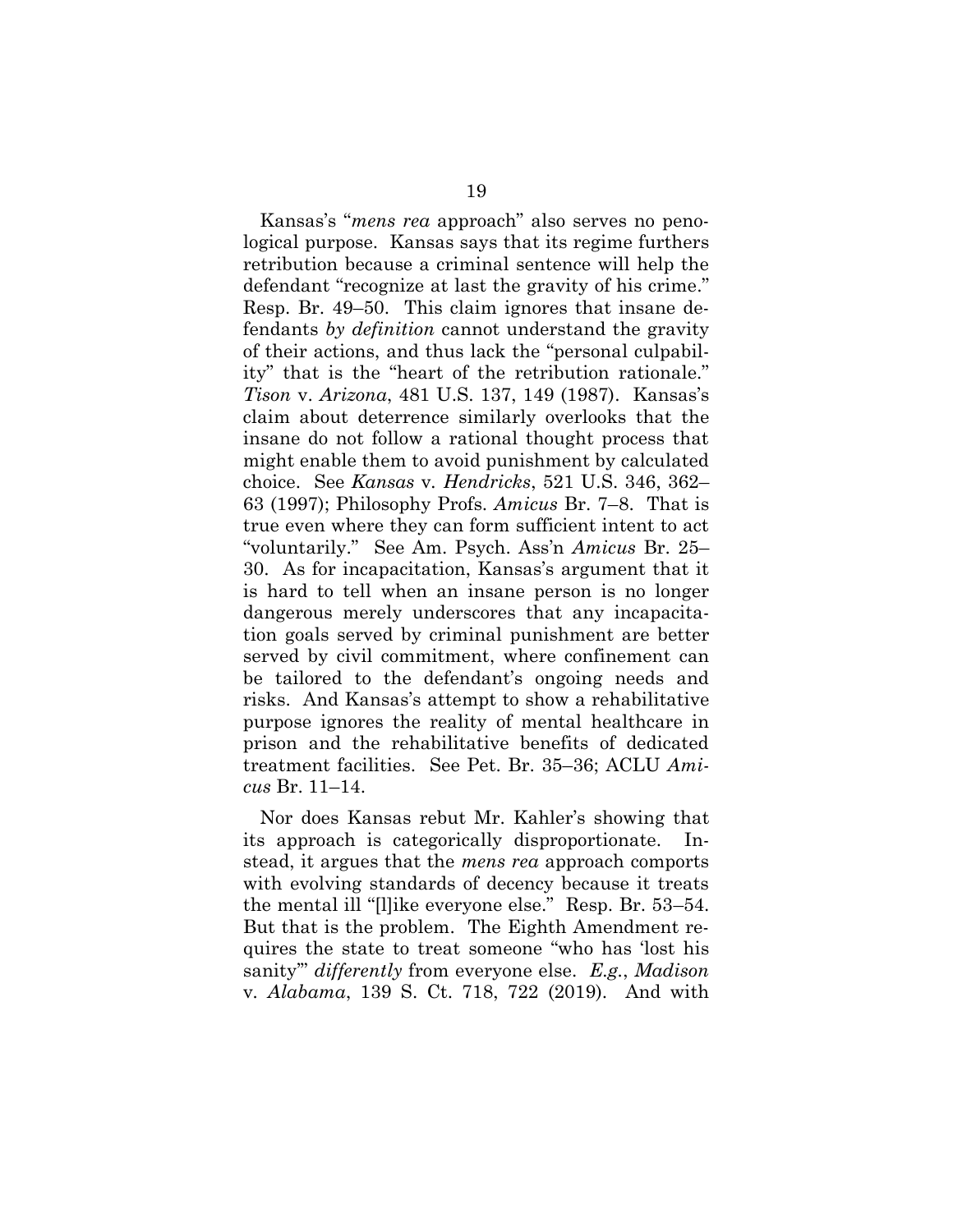Kansas's "*mens rea* approach" also serves no penological purpose. Kansas says that its regime furthers retribution because a criminal sentence will help the defendant "recognize at last the gravity of his crime." Resp. Br. 49–50. This claim ignores that insane defendants *by definition* cannot understand the gravity of their actions, and thus lack the "personal culpability" that is the "heart of the retribution rationale." *Tison* v. *Arizona*, 481 U.S. 137, 149 (1987). Kansas's claim about deterrence similarly overlooks that the insane do not follow a rational thought process that might enable them to avoid punishment by calculated choice. See *Kansas* v*. Hendricks*, 521 U.S. 346, 362– 63 (1997); Philosophy Profs. *Amicus* Br. 7–8. That is true even where they can form sufficient intent to act "voluntarily." See Am. Psych. Ass'n *Amicus* Br. 25– 30. As for incapacitation, Kansas's argument that it is hard to tell when an insane person is no longer dangerous merely underscores that any incapacitation goals served by criminal punishment are better served by civil commitment, where confinement can be tailored to the defendant's ongoing needs and risks. And Kansas's attempt to show a rehabilitative purpose ignores the reality of mental healthcare in prison and the rehabilitative benefits of dedicated treatment facilities. See Pet. Br. 35–36; ACLU *Amicus* Br. 11–14.

Nor does Kansas rebut Mr. Kahler's showing that its approach is categorically disproportionate. Instead, it argues that the *mens rea* approach comports with evolving standards of decency because it treats the mental ill "[l]ike everyone else." Resp. Br. 53–54. But that is the problem. The Eighth Amendment requires the state to treat someone "who has 'lost his sanity'" *differently* from everyone else. *E.g.*, *Madison*  v*. Alabama*, 139 S. Ct. 718, 722 (2019). And with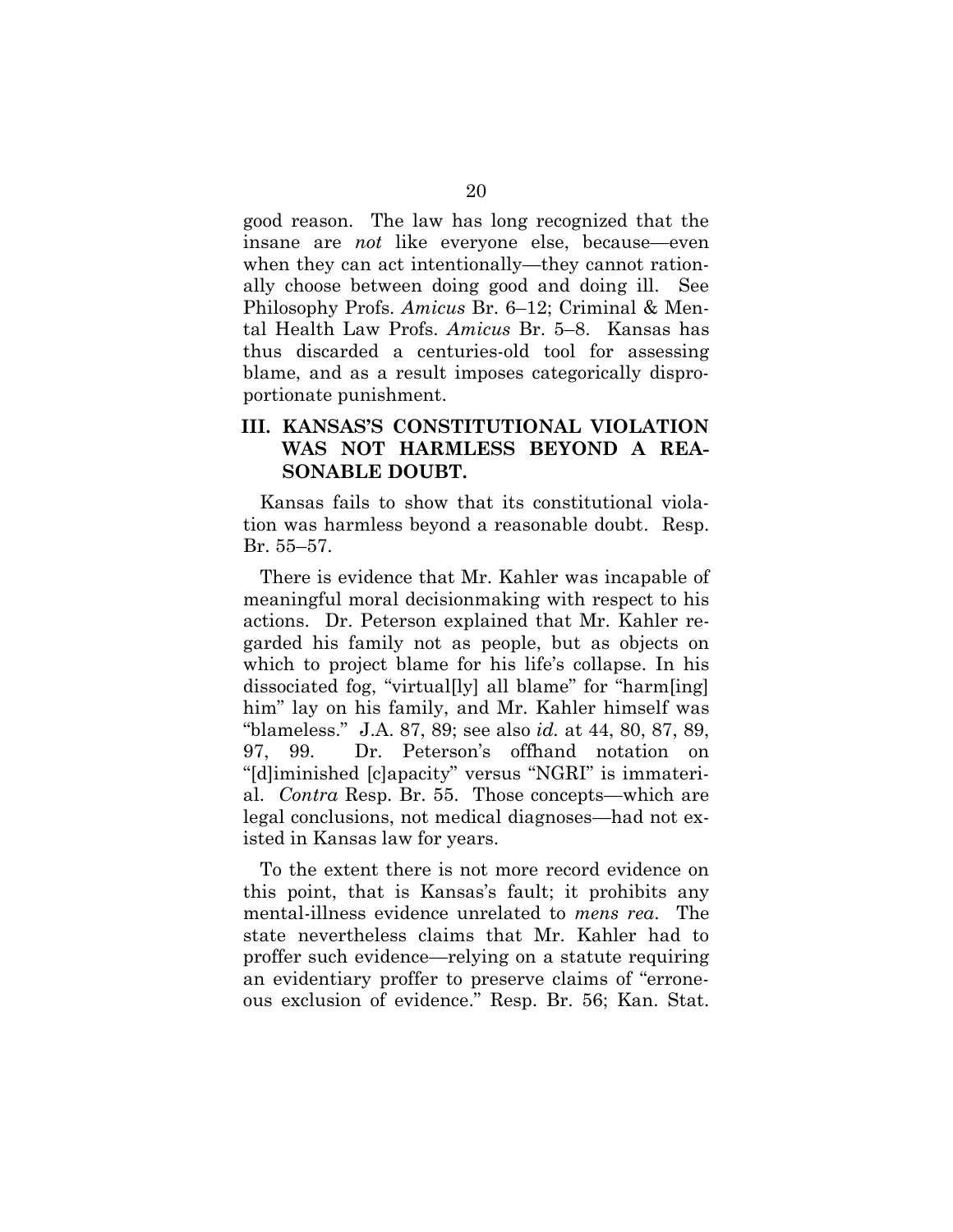good reason. The law has long recognized that the insane are *not* like everyone else, because—even when they can act intentionally—they cannot rationally choose between doing good and doing ill. See Philosophy Profs. *Amicus* Br. 6–12; Criminal & Mental Health Law Profs. *Amicus* Br. 5–8. Kansas has thus discarded a centuries-old tool for assessing blame, and as a result imposes categorically disproportionate punishment.

### **III. KANSAS'S CONSTITUTIONAL VIOLATION WAS NOT HARMLESS BEYOND A REA-SONABLE DOUBT.**

Kansas fails to show that its constitutional violation was harmless beyond a reasonable doubt. Resp. Br. 55–57.

There is evidence that Mr. Kahler was incapable of meaningful moral decisionmaking with respect to his actions. Dr. Peterson explained that Mr. Kahler regarded his family not as people, but as objects on which to project blame for his life's collapse. In his dissociated fog, "virtual[ly] all blame" for "harm[ing] him" lay on his family, and Mr. Kahler himself was "blameless." J.A. 87, 89; see also *id.* at 44, 80, 87, 89, 97, 99. Dr. Peterson's offhand notation on "[d]iminished [c]apacity" versus "NGRI" is immaterial. *Contra* Resp. Br. 55. Those concepts—which are legal conclusions, not medical diagnoses—had not existed in Kansas law for years.

To the extent there is not more record evidence on this point, that is Kansas's fault; it prohibits any mental-illness evidence unrelated to *mens rea*. The state nevertheless claims that Mr. Kahler had to proffer such evidence—relying on a statute requiring an evidentiary proffer to preserve claims of "erroneous exclusion of evidence." Resp. Br. 56; Kan. Stat.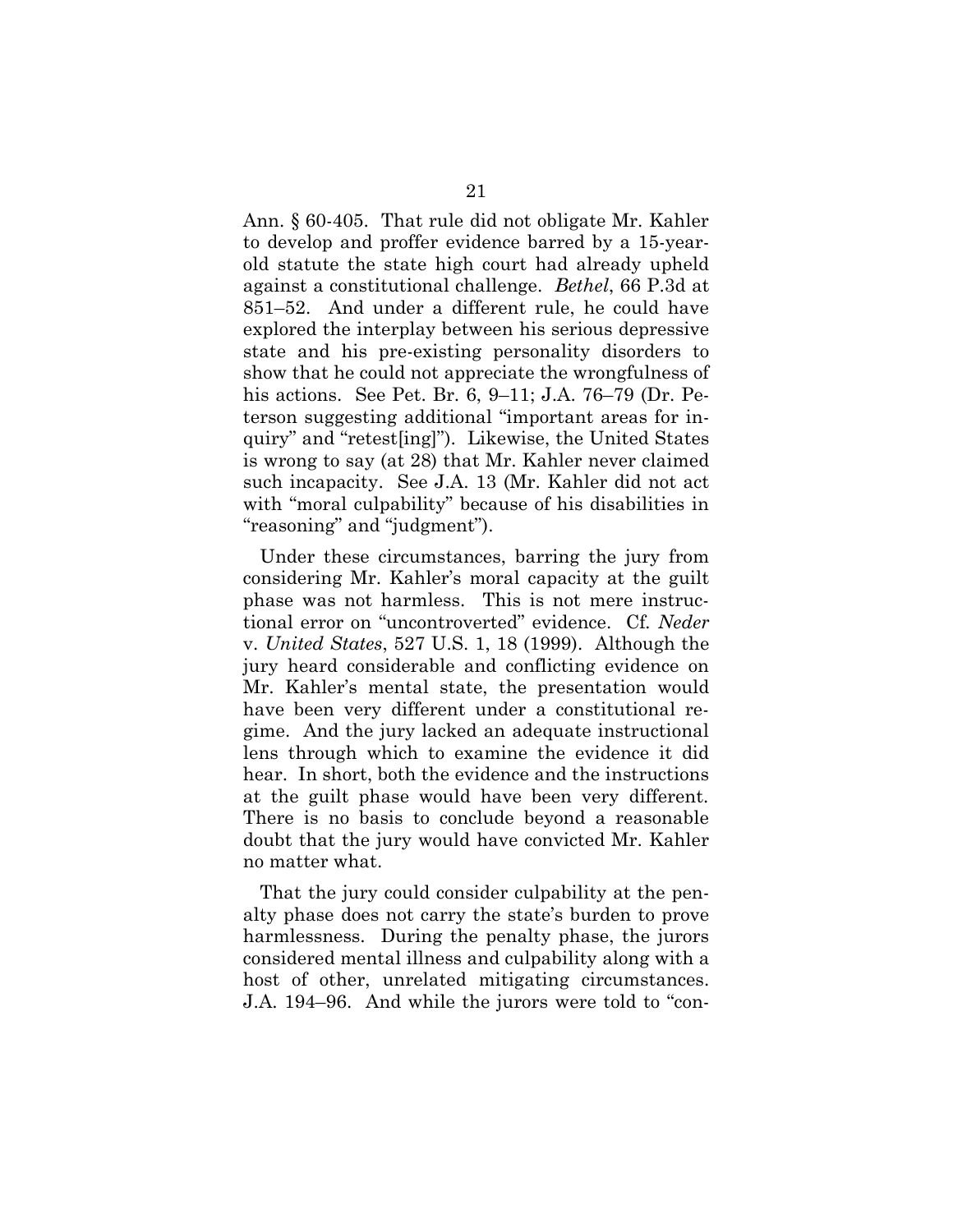Ann. § 60-405. That rule did not obligate Mr. Kahler to develop and proffer evidence barred by a 15-yearold statute the state high court had already upheld against a constitutional challenge. *Bethel*, 66 P.3d at 851–52. And under a different rule, he could have explored the interplay between his serious depressive state and his pre-existing personality disorders to show that he could not appreciate the wrongfulness of his actions. See Pet. Br. 6, 9–11; J.A. 76–79 (Dr. Peterson suggesting additional "important areas for inquiry" and "retest[ing]"). Likewise, the United States is wrong to say (at 28) that Mr. Kahler never claimed such incapacity. See J.A. 13 (Mr. Kahler did not act with "moral culpability" because of his disabilities in "reasoning" and "judgment").

Under these circumstances, barring the jury from considering Mr. Kahler's moral capacity at the guilt phase was not harmless. This is not mere instructional error on "uncontroverted" evidence. Cf*. Neder*  v. *United States*, 527 U.S. 1, 18 (1999). Although the jury heard considerable and conflicting evidence on Mr. Kahler's mental state, the presentation would have been very different under a constitutional regime. And the jury lacked an adequate instructional lens through which to examine the evidence it did hear. In short, both the evidence and the instructions at the guilt phase would have been very different. There is no basis to conclude beyond a reasonable doubt that the jury would have convicted Mr. Kahler no matter what.

That the jury could consider culpability at the penalty phase does not carry the state's burden to prove harmlessness. During the penalty phase, the jurors considered mental illness and culpability along with a host of other, unrelated mitigating circumstances. J.A. 194–96. And while the jurors were told to "con-